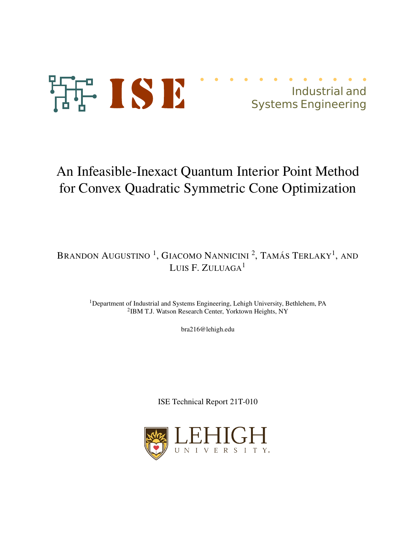

Industrial and Systems Engineering

# An Infeasible-Inexact Quantum Interior Point Method for Convex Quadratic Symmetric Cone Optimization

# Brandon Augustino <sup>1</sup>, Giacomo Nannicini <sup>2</sup>, Tamás Terlaky<sup>1</sup>, and LUIS F. ZULUAGA<sup>1</sup>

<sup>1</sup>Department of Industrial and Systems Engineering, Lehigh University, Bethlehem, PA 2 IBM T.J. Watson Research Center, Yorktown Heights, NY

bra216@lehigh.edu

ISE Technical Report 21T-010

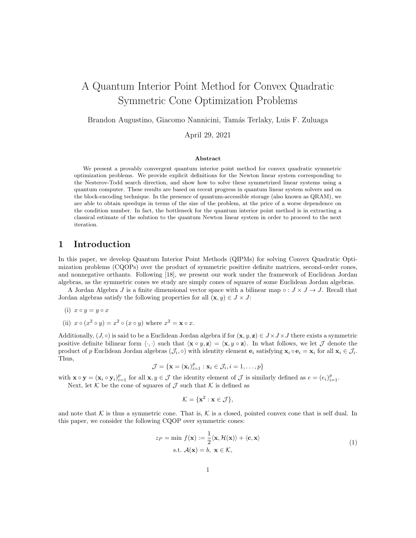# A Quantum Interior Point Method for Convex Quadratic Symmetric Cone Optimization Problems

Brandon Augustino, Giacomo Nannicini, Tamás Terlaky, Luis F. Zuluaga

April 29, 2021

#### Abstract

We present a provably convergent quantum interior point method for convex quadratic symmetric optimization problems. We provide explicit definitions for the Newton linear system corresponding to the Nesterov-Todd search direction, and show how to solve these symmetrized linear systems using a quantum computer. These results are based on recent progress in quantum linear system solvers and on the block-encoding technique. In the presence of quantum-accessible storage (also known as QRAM), we are able to obtain speedups in terms of the size of the problem, at the price of a worse dependence on the condition number. In fact, the bottleneck for the quantum interior point method is in extracting a classical estimate of the solution to the quantum Newton linear system in order to proceed to the next iteration.

# 1 Introduction

In this paper, we develop Quantum Interior Point Methods (QIPMs) for solving Convex Quadratic Optimization problems (CQOPs) over the product of symmetric positive definite matrices, second-order cones, and nonnegative orthants. Following [18], we present our work under the framework of Euclidean Jordan algebras, as the symmetric cones we study are simply cones of squares of some Euclidean Jordan algebras.

A Jordan Algebra J is a finite dimensional vector space with a bilinear map  $\circ : J \times J \to J$ . Recall that Jordan algebras satisfy the following properties for all  $(\mathbf{x}, y) \in J \times J$ :

- (i)  $x \circ y = y \circ x$
- (ii)  $x \circ (x^2 \circ y) = x^2 \circ (x \circ y)$  where  $x^2 = \mathbf{x} \circ x$ .

Additionally,  $(J, \circ)$  is said to be a Euclidean Jordan algebra if for  $(\mathbf{x}, y, \mathbf{z}) \in J \times J \times J$  there exists a symmetric positive definite bilinear form  $\langle \cdot, \cdot \rangle$  such that  $\langle \mathbf{x} \circ y, \mathbf{z} \rangle = \langle \mathbf{x}, y \circ \mathbf{z} \rangle$ . In what follows, we let  $\mathcal J$  denote the product of p Euclidean Jordan algebras  $(\mathcal{J}_i, \circ)$  with identity element  $\mathbf{e}_i$  satisfying  $\mathbf{x}_i \circ \mathbf{e}_i = \mathbf{x}_i$  for all  $\mathbf{x}_i \in \mathcal{J}_i$ . Thus,

$$
\mathcal{J} = \{ \mathbf{x} = (\mathbf{x}_i)_{i=1}^p : \mathbf{x}_i \in \mathcal{J}_i, i = 1, \dots, p \}
$$

with  $\mathbf{x} \circ \mathbf{y} = (\mathbf{x}_i \circ \mathbf{y}_i)_{i=1}^p$  for all  $\mathbf{x}, y \in \mathcal{J}$  the identity element of  $\mathcal{J}$  is similarly defined as  $e = (e_i)_{i=1}^p$ .

Next, let K be the cone of squares of  $\mathcal J$  such that K is defined as

$$
\mathcal{K} = \{\mathbf{x}^2 : \mathbf{x} \in \mathcal{J}\},\
$$

and note that K is thus a symmetric cone. That is, K is a closed, pointed convex cone that is self dual. In this paper, we consider the following CQOP over symmetric cones:

$$
z_P = \min f(\mathbf{x}) := \frac{1}{2} \langle \mathbf{x}, \mathcal{H}(\mathbf{x}) \rangle + \langle \mathbf{c}, \mathbf{x} \rangle
$$
  
s.t.  $\mathcal{A}(\mathbf{x}) = b, \ \mathbf{x} \in \mathcal{K},$  (1)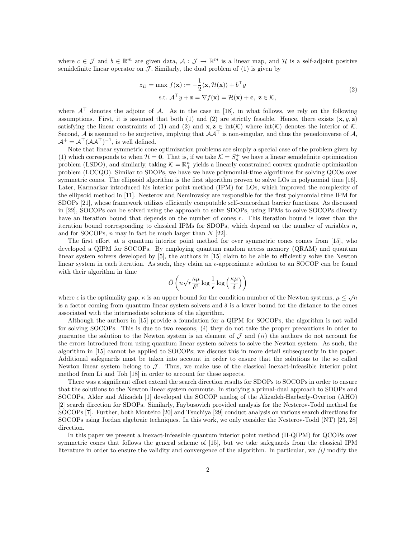where  $c \in \mathcal{J}$  and  $b \in \mathbb{R}^m$  are given data,  $\mathcal{A}: \mathcal{J} \to \mathbb{R}^m$  is a linear map, and H is a self-adjoint positive semidefinite linear operator on  $\mathcal J$ . Similarly, the dual problem of (1) is given by

$$
z_D = \max f(\mathbf{x}) := -\frac{1}{2} \langle \mathbf{x}, \mathcal{H}(\mathbf{x}) \rangle + b^\top y
$$
  
s.t.  $\mathcal{A}^\top y + \mathbf{z} = \nabla f(\mathbf{x}) = \mathcal{H}(\mathbf{x}) + \mathbf{c}, \ \mathbf{z} \in \mathcal{K},$  (2)

where  $A^{\top}$  denotes the adjoint of A. As in the case in [18], in what follows, we rely on the following assumptions. First, it is assumed that both (1) and (2) are strictly feasible. Hence, there exists  $(x, y, z)$ satisfying the linear constraints of (1) and (2) and  $\mathbf{x}, \mathbf{z} \in \text{int}(\mathcal{K})$  where  $\text{int}(\mathcal{K})$  denotes the interior of  $\mathcal{K}$ . Second, A is assumed to be surjective, implying that  $AA^{\dagger}$  is non-singular, and thus the psuedoinverse of A,  $A^+ = A^{\top} (A A^{\top})^{-1}$ , is well defined.

Note that linear symmetric cone optimization problems are simply a special case of the problem given by (1) which corresponds to when  $\mathcal{H} = 0$ . That is, if we take  $\mathcal{K} = S_n^+$  we have a linear semidefinite optimization problem (LSDO), and similarly, taking  $\mathcal{K} = \mathbb{R}^n_+$  yields a linearly constrained convex quadratic optimization problem (LCCQO). Similar to SDOPs, we have we have polynomial-time algorithms for solving QCOs over symmetric cones. The ellipsoid algorithm is the first algorithm proven to solve LOs in polynomial time [16]. Later, Karmarkar introduced his interior point method (IPM) for LOs, which improved the complexity of the ellipsoid method in [11]. Nesterov and Nemirovsky are responsible for the first polynomial time IPM for SDOPs [21], whose framework utilizes efficiently computable self-concordant barrier functions. As discussed in [22], SOCOPs can be solved using the approach to solve SDOPs, using IPMs to solve SOCOPs directly have an iteration bound that depends on the number of cones r. This iteration bound is lower than the iteration bound corresponding to classical IPMs for SDOPs, which depend on the number of variables  $n$ , and for SOCOPs,  $n$  may in fact be much larger than  $N$  [22].

The first effort at a quantum interior point method for over symmetric cones comes from [15], who developed a QIPM for SOCOPs. By employing quantum random access memory (QRAM) and quantum linear system solvers developed by [5], the authors in [15] claim to be able to efficiently solve the Newton linear system in each iteration. As such, they claim an  $\epsilon$ -approximate solution to an SOCOP can be found with their algorithm in time

$$
\tilde{O}\left(n\sqrt{r}\frac{\kappa\mu}{\delta^2}\log\frac{1}{\epsilon}\log\left(\frac{\kappa\mu}{\delta}\right)\right)
$$

where  $\epsilon$  is the optimality gap,  $\kappa$  is an upper bound for the condition number of the Newton systems,  $\mu \leq \sqrt{n}$ is a factor coming from quantum linear system solvers and  $\delta$  is a lower bound for the distance to the cones associated with the intermediate solutions of the algorithm.

Although the authors in [15] provide a foundation for a QIPM for SOCOPs, the algorithm is not valid for solving SOCOPs. This is due to two reasons, (i) they do not take the proper precautions in order to guarantee the solution to the Newton system is an element of  $\mathcal J$  and  $(ii)$  the authors do not account for the errors introduced from using quantum linear system solvers to solve the Newton system. As such, the algorithm in [15] cannot be applied to SOCOPs; we discuss this in more detail subsequently in the paper. Additional safeguards must be taken into account in order to ensure that the solutions to the so called Newton linear system belong to  $\mathcal{J}$ . Thus, we make use of the classical inexact-infeasible interior point method from Li and Toh [18] in order to account for these aspects.

There was a significant effort extend the search direction results for SDOPs to SOCOPs in order to ensure that the solutions to the Newton linear system commute. In studying a primal-dual approach to SDOPs and SOCOPs, Alder and Alizadeh [1] developed the SOCOP analog of the Alizadeh-Haeberly-Overton (AHO) [2] search direction for SDOPs. Similarly, Faybusovich provided analysis for the Nesterov-Todd method for SOCOPs [7]. Further, both Monteiro [20] and Tsuchiya [29] conduct analysis on various search directions for SOCOPs using Jordan algebraic techniques. In this work, we only consider the Nesterov-Todd (NT) [23, 28] direction.

In this paper we present a inexact-infeasible quantum interior point method (II-QIPM) for QCOPs over symmetric cones that follows the general scheme of [15], but we take safeguards from the classical IPM literature in order to ensure the validity and convergence of the algorithm. In particular, we  $(i)$  modify the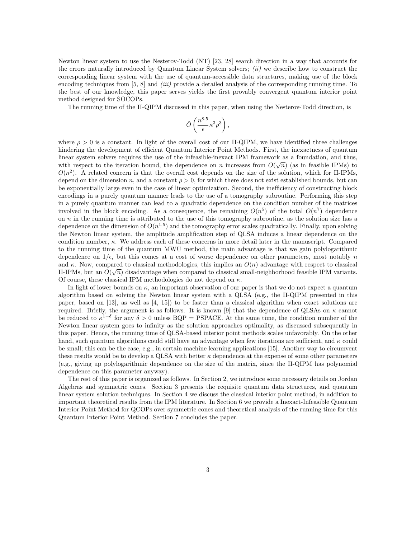Newton linear system to use the Nesterov-Todd (NT) [23, 28] search direction in a way that accounts for the errors naturally introduced by Quantum Linear System solvers;  $(ii)$  we describe how to construct the corresponding linear system with the use of quantum-accessible data structures, making use of the block encoding techniques from  $[5, 8]$  and *(iii)* provide a detailed analysis of the corresponding running time. To the best of our knowledge, this paper serves yields the first provably convergent quantum interior point method designed for SOCOPs.

The running time of the II-QIPM discussed in this paper, when using the Nesterov-Todd direction, is

$$
\tilde{O}\left(\frac{n^{8.5}}{\epsilon}\kappa^3\rho^3\right),
$$

where  $\rho > 0$  is a constant. In light of the overall cost of our II-QIPM, we have identified three challenges hindering the development of efficient Quantum Interior Point Methods. First, the inexactness of quantum linear system solvers requires the use of the infeasible-inexact IPM framework as a foundation, and thus, with respect to the iteration bound, the dependence on n increases from  $O(\sqrt{n})$  (as in feasible IPMs) to  $O(n^2)$ . A related concern is that the overall cost depends on the size of the solution, which for II-IPMs, depend on the dimension n, and a constant  $\rho > 0$ , for which there does not exist established bounds, but can be exponentially large even in the case of linear optimization. Second, the inefficiency of constructing block encodings in a purely quantum manner leads to the use of a tomography subroutine. Performing this step in a purely quantum manner can lead to a quadratic dependence on the condition number of the matrices involved in the block encoding. As a consequence, the remaining  $O(n^5)$  of the total  $O(n^7)$  dependence on n in the running time is attributed to the use of this tomography subroutine, as the solution size has a dependence on the dimension of  $O(n^{1.5})$  and the tomography error scales quadratically. Finally, upon solving the Newton linear system, the amplitude amplification step of QLSA induces a linear dependence on the condition number,  $\kappa$ . We address each of these concerns in more detail later in the manuscript. Compared to the running time of the quantum MWU method, the main advantage is that we gain polylogarithmic dependence on  $1/\epsilon$ , but this comes at a cost of worse dependence on other parameters, most notably n and  $\kappa$ . Now, compared to classical methodologies, this implies an  $O(n)$  advantage with respect to classical II-IPMs, but an  $O(\sqrt{n})$  disadvantage when compared to classical small-neighborhood feasible IPM variants. Of course, these classical IPM methodologies do not depend on  $\kappa$ .

In light of lower bounds on  $\kappa$ , an important observation of our paper is that we do not expect a quantum algorithm based on solving the Newton linear system with a QLSA (e.g., the II-QIPM presented in this paper, based on [13], as well as [4, 15]) to be faster than a classical algorithm when exact solutions are required. Briefly, the argument is as follows. It is known [9] that the dependence of QLSAs on  $\kappa$  cannot be reduced to  $\kappa^{1-\delta}$  for any  $\delta > 0$  unless BQP = PSPACE. At the same time, the condition number of the Newton linear system goes to infinity as the solution approaches optimality, as discussed subsequently in this paper. Hence, the running time of QLSA-based interior point methods scales unfavorably. On the other hand, such quantum algorithms could still have an advantage when few iterations are sufficient, and  $\kappa$  could be small; this can be the case, e.g., in certain machine learning applications [15]. Another way to circumvent these results would be to develop a QLSA with better  $\kappa$  dependence at the expense of some other parameters (e.g., giving up polylogarithmic dependence on the size of the matrix, since the II-QIPM has polynomial dependence on this parameter anyway).

The rest of this paper is organized as follows. In Section 2, we introduce some necessary details on Jordan Algebras and symmetric cones. Section 3 presents the requisite quantum data structures, and quantum linear system solution techniques. In Section 4 we discuss the classical interior point method, in addition to important theoretical results from the IPM literature. In Section 6 we provide a Inexact-Infeasible Quantum Interior Point Method for QCOPs over symmetric cones and theoretical analysis of the running time for this Quantum Interior Point Method. Section 7 concludes the paper.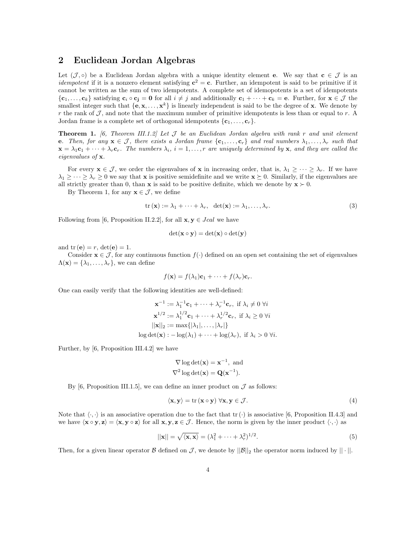# 2 Euclidean Jordan Algebras

Let  $(\mathcal{J},\circ)$  be a Euclidean Jordan algebra with a unique identity element e. We say that  $c \in \mathcal{J}$  is an *idempotent* if it is a nonzero element satisfying  $c^2 = c$ . Further, an idempotent is said to be primitive if it cannot be written as the sum of two idempotents. A complete set of idemopotents is a set of idempotents  $\{c_1,\ldots,c_k\}$  satisfying  $c_i \circ c_j = 0$  for all  $i \neq j$  and additionally  $c_1 + \cdots + c_k = e$ . Further, for  $\mathbf{x} \in \mathcal{J}$  the smallest integer such that  $\{e, x, \ldots, x^k\}$  is linearly independent is said to be the degree of x. We denote by r the rank of  $\mathcal{J}$ , and note that the maximum number of primitive idempotents is less than or equal to r. A Jordan frame is a complete set of orthogonal idempotents  $\{c_1, \ldots, c_r\}$ .

**Theorem 1.** [6, Theorem III.1.2] Let  $\mathcal{J}$  be an Euclidean Jordan algebra with rank r and unit element e. Then, for any  $\mathbf{x} \in \mathcal{J}$ , there exists a Jordan frame  $\{\mathbf{c}_1, \ldots, \mathbf{c}_r\}$  and real numbers  $\lambda_1, \ldots, \lambda_r$  such that  $\mathbf{x} = \lambda_1 \mathbf{c}_1 + \cdots + \lambda_r \mathbf{c}_r$ . The numbers  $\lambda_i$ ,  $i = 1, \ldots, r$  are uniquely determined by  $\mathbf{x}$ , and they are called the eigenvalues of x.

For every  $\mathbf{x} \in \mathcal{J}$ , we order the eigenvalues of  $\mathbf{x}$  in increasing order, that is,  $\lambda_1 \geq \cdots \geq \lambda_r$ . If we have  $\lambda_1 \geq \cdots \geq \lambda_r \geq 0$  we say that **x** is positive semidefinite and we write  $\mathbf{x} \succeq 0$ . Similarly, if the eigenvalues are all strictly greater than 0, than **x** is said to be positive definite, which we denote by  $\mathbf{x} \succ 0$ .

By Theorem 1, for any  $\mathbf{x} \in \mathcal{J}$ , we define

$$
\operatorname{tr}(\mathbf{x}) := \lambda_1 + \dots + \lambda_r, \quad \det(\mathbf{x}) := \lambda_1, \dots, \lambda_r.
$$
 (3)

Following from [6, Proposition II.2.2], for all  $\mathbf{x}, \mathbf{y} \in \text{Jcal}$  we have

$$
\det(\mathbf{x} \circ \mathbf{y}) = \det(\mathbf{x}) \circ \det(\mathbf{y})
$$

and  $tr(\mathbf{e}) = r$ ,  $det(\mathbf{e}) = 1$ .

Consider  $\mathbf{x} \in \mathcal{J}$ , for any continuous function  $f(\cdot)$  defined on an open set containing the set of eigenvalues  $\Lambda(\mathbf{x}) = {\lambda_1, \ldots, \lambda_r}$ , we can define

$$
f(\mathbf{x}) = f(\lambda_1)\mathbf{c}_1 + \cdots + f(\lambda_r)\mathbf{c}_r.
$$

One can easily verify that the following identities are well-defined:

$$
\mathbf{x}^{-1} := \lambda_1^{-1} \mathbf{c}_1 + \dots + \lambda_r^{-1} \mathbf{c}_r, \text{ if } \lambda_i \neq 0 \ \forall i
$$

$$
\mathbf{x}^{1/2} := \lambda_1^{1/2} \mathbf{c}_1 + \dots + \lambda_r^{1/2} \mathbf{c}_r, \text{ if } \lambda_i \geq 0 \ \forall i
$$

$$
||\mathbf{x}||_2 := \max\{|\lambda_1|, \dots, |\lambda_r|\}
$$

$$
\log \det(\mathbf{x}) : -\log(\lambda_1) + \dots + \log(\lambda_r), \text{ if } \lambda_i > 0 \ \forall i.
$$

Further, by [6, Proposition III.4.2] we have

$$
\nabla \log \det(\mathbf{x}) = \mathbf{x}^{-1}
$$
, and  
 $\nabla^2 \log \det(\mathbf{x}) = \mathbf{Q}(\mathbf{x}^{-1})$ .

By [6, Proposition III.1.5], we can define an inner product on  $\mathcal J$  as follows:

$$
\langle \mathbf{x}, \mathbf{y} \rangle = \text{tr} \left( \mathbf{x} \circ \mathbf{y} \right) \, \forall \mathbf{x}, \mathbf{y} \in \mathcal{J}.
$$
 (4)

Note that  $\langle \cdot, \cdot \rangle$  is an associative operation due to the fact that  $tr(\cdot)$  is associative [6, Proposition II.4.3] and we have  $\langle \mathbf{x} \circ \mathbf{y}, \mathbf{z} \rangle = \langle \mathbf{x}, \mathbf{y} \circ \mathbf{z} \rangle$  for all  $\mathbf{x}, \mathbf{y}, \mathbf{z} \in \mathcal{J}$ . Hence, the norm is given by the inner product  $\langle \cdot, \cdot \rangle$  as

$$
||\mathbf{x}|| = \sqrt{\langle \mathbf{x}, \mathbf{x} \rangle} = (\lambda_1^2 + \dots + \lambda_r^2)^{1/2}.
$$
\n(5)

Then, for a given linear operator  $\mathcal B$  defined on  $\mathcal J$ , we denote by  $||\mathcal B||_2$  the operator norm induced by  $||\cdot||$ .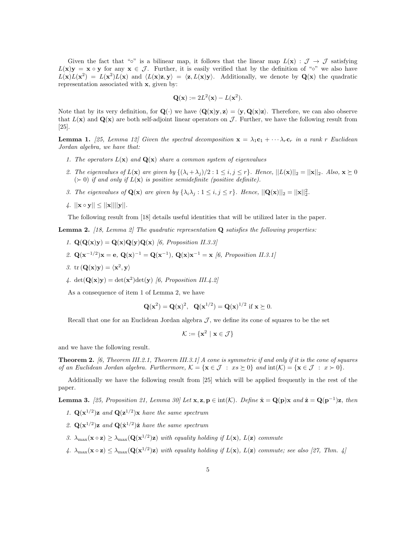Given the fact that "∘" is a bilinear map, it follows that the linear map  $L(\mathbf{x}) : \mathcal{J} \to \mathcal{J}$  satisfying  $L(x)y = x \circ y$  for any  $x \in J$ . Further, it is easily verified that by the definition of "∘" we also have  $L(\mathbf{x})L(\mathbf{x}^2) = L(\mathbf{x}^2)L(\mathbf{x})$  and  $\langle L(\mathbf{x})\mathbf{z}, \mathbf{y}\rangle = \langle \mathbf{z}, L(\mathbf{x})\mathbf{y}\rangle$ . Additionally, we denote by  $Q(\mathbf{x})$  the quadratic representation associated with x, given by:

$$
\mathbf{Q}(\mathbf{x}) := 2L^2(\mathbf{x}) - L(\mathbf{x}^2).
$$

Note that by its very definition, for  $\mathbf{Q}(\cdot)$  we have  $\langle \mathbf{Q}(\mathbf{x})\mathbf{y}, \mathbf{z} \rangle = \langle \mathbf{y}, \mathbf{Q}(\mathbf{x})\mathbf{z} \rangle$ . Therefore, we can also observe that  $L(\mathbf{x})$  and  $\mathbf{Q}(\mathbf{x})$  are both self-adjoint linear operators on J. Further, we have the following result from [25].

**Lemma 1.** [25, Lemma 12] Given the spectral decomposition  $\mathbf{x} = \lambda_1 \mathbf{c}_1 + \cdots + \lambda_r \mathbf{c}_r$  in a rank r Euclidean Jordan algebra, we have that:

- 1. The operators  $L(\mathbf{x})$  and  $\mathbf{Q}(\mathbf{x})$  share a common system of eigenvalues
- 2. The eigenvalues of  $L(\mathbf{x})$  are given by  $\{(\lambda_i + \lambda_j)/2 : 1 \leq i, j \leq r\}$ . Hence,  $||L(\mathbf{x})||_2 = ||\mathbf{x}||_2$ . Also,  $\mathbf{x} \geq 0$  $(\succ 0)$  if and only if  $L(\mathbf{x})$  is positive semidefinite (positive definite).
- 3. The eigenvalues of  $\mathbf{Q}(\mathbf{x})$  are given by  $\{\lambda_i\lambda_j : 1 \leq i, j \leq r\}$ . Hence,  $||\mathbf{Q}(\mathbf{x})||_2 = ||\mathbf{x}||_2^2$ .
- 4.  $||\mathbf{x} \circ \mathbf{y}|| \leq ||\mathbf{x}|| ||\mathbf{y}||.$

The following result from [18] details useful identities that will be utilized later in the paper.

**Lemma 2.** [18, Lemma 2] The quadratic representation  $Q$  satisfies the following properties:

- 1.  $\mathbf{Q}(\mathbf{Q}(\mathbf{x})\mathbf{y}) = \mathbf{Q}(\mathbf{x})\mathbf{Q}(\mathbf{y})\mathbf{Q}(\mathbf{x})$  [6, Proposition II.3.3]
- 2.  $Q(x^{-1/2})x = e$ ,  $Q(x)^{-1} = Q(x^{-1})$ ,  $Q(x)x^{-1} = x$  [6, Proposition II.3.1]
- 3. tr  $(\mathbf{Q}(\mathbf{x})\mathbf{y}) = \langle \mathbf{x}^2, \mathbf{y} \rangle$
- 4.  $\det(\mathbf{Q}(\mathbf{x})\mathbf{y}) = \det(\mathbf{x}^2)\det(\mathbf{y})$  [6, Proposition III.4.2]

As a consequence of item 1 of Lemma 2, we have

$$
Q(x^{2}) = Q(x)^{2}, Q(x^{1/2}) = Q(x)^{1/2} \text{ if } x \succeq 0.
$$

Recall that one for an Euclidean Jordan algebra  $J$ , we define its cone of squares to be the set

$$
\mathcal{K} := \{ \mathbf{x}^2 \mid \mathbf{x} \in \mathcal{J} \}
$$

and we have the following result.

**Theorem 2.** [6, Theorem III.2.1, Theorem III.3.1] A cone is symmetric if and only if it is the cone of squares of an Euclidean Jordan algebra. Furthermore,  $\mathcal{K} = {\mathbf{x} \in \mathcal{J} : xs \succeq 0}$  and  $\text{int}(\mathcal{K}) = {\mathbf{x} \in \mathcal{J} : x \succ 0}.$ 

Additionally we have the following result from [25] which will be applied frequently in the rest of the paper.

**Lemma 3.** [25, Proposition 21, Lemma 30] Let  $\mathbf{x}, \mathbf{z}, \mathbf{p} \in \text{int}(\mathcal{K})$ . Define  $\hat{\mathbf{x}} = \mathbf{Q}(\mathbf{p})\mathbf{x}$  and  $\hat{\mathbf{z}} = \mathbf{Q}(\mathbf{p}^{-1})\mathbf{z}$ , then

- 1.  $\mathbf{Q}(\mathbf{x}^{1/2})\mathbf{z}$  and  $\mathbf{Q}(\mathbf{z}^{1/2})\mathbf{x}$  have the same spectrum
- 2.  $\mathbf{Q}(\mathbf{x}^{1/2})\mathbf{z}$  and  $\mathbf{Q}(\hat{\mathbf{x}}^{1/2})\hat{\mathbf{z}}$  have the same spectrum
- 3.  $\lambda_{\max}(\mathbf{x} \circ \mathbf{z}) \geq \lambda_{\max}(\mathbf{Q}(\mathbf{x}^{1/2})\mathbf{z})$  with equality holding if  $L(\mathbf{x})$ ,  $L(\mathbf{z})$  commute
- 4.  $\lambda_{\max}(\mathbf{x} \circ \mathbf{z}) \leq \lambda_{\max}(\mathbf{Q}(\mathbf{x}^{1/2})\mathbf{z})$  with equality holding if  $L(\mathbf{x})$ ,  $L(\mathbf{z})$  commute; see also [27, Thm. 4]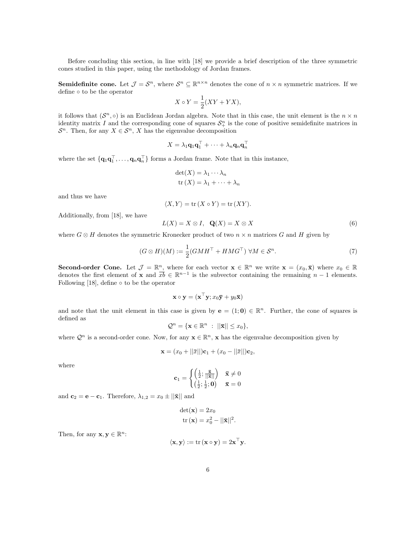Before concluding this section, in line with [18] we provide a brief description of the three symmetric cones studied in this paper, using the methodology of Jordan frames.

**Semidefinite cone.** Let  $\mathcal{J} = \mathcal{S}^n$ , where  $\mathcal{S}^n \subseteq \mathbb{R}^{n \times n}$  denotes the cone of  $n \times n$  symmetric matrices. If we define ◦ to be the operator

$$
X \circ Y = \frac{1}{2}(XY + YX),
$$

it follows that  $(S^n, \circ)$  is an Euclidean Jordan algebra. Note that in this case, the unit element is the  $n \times n$ identity matrix I and the corresponding cone of squares  $\mathcal{S}^n_+$  is the cone of positive semidefinite matrices in  $S<sup>n</sup>$ . Then, for any  $X \in S<sup>n</sup>$ , X has the eigenvalue decomposition

$$
X = \lambda_1 \mathbf{q}_1 \mathbf{q}_1^\top + \cdots + \lambda_n \mathbf{q}_n \mathbf{q}_n^\top
$$

where the set  ${q_1q_1^{\dagger}, \ldots, q_nq_n^{\dagger}}$  forms a Jordan frame. Note that in this instance,

$$
\det(X) = \lambda_1 \cdots \lambda_n
$$
  
tr(X) = \lambda\_1 + \cdots + \lambda\_n

and thus we have

$$
\langle X, Y \rangle = \text{tr}(X \circ Y) = \text{tr}(XY).
$$

Additionally, from [18], we have

$$
L(X) = X \otimes I, \quad \mathbf{Q}(X) = X \otimes X \tag{6}
$$

where  $G \otimes H$  denotes the symmetric Kronecker product of two  $n \times n$  matrices G and H given by

$$
(G \otimes H)(M) := \frac{1}{2}(GMH^\top + HMG^\top) \,\forall M \in \mathcal{S}^n. \tag{7}
$$

**Second-order Cone.** Let  $\mathcal{J} = \mathbb{R}^n$ , where for each vector  $\mathbf{x} \in \mathbb{R}^n$  we write  $\mathbf{x} = (x_0, \bar{\mathbf{x}})$  where  $x_0 \in \mathbb{R}$ denotes the first element of **x** and  $\overline{xb} \in \mathbb{R}^{n-1}$  is the subvector containing the remaining  $n-1$  elements. Following  $[18]$ , define  $\circ$  to be the operator

$$
\mathbf{x} \circ \mathbf{y} = (\mathbf{x}^\top \mathbf{y}; x_0 \bar{\mathbf{y}} + y_0 \bar{\mathbf{x}})
$$

and note that the unit element in this case is given by  $e = (1, 0) \in \mathbb{R}^n$ . Further, the cone of squares is defined as

$$
\mathcal{Q}^n = \{\mathbf{x} \in \mathbb{R}^n : ||\bar{\mathbf{x}}|| \leq x_0\},\
$$

where  $\mathcal{Q}^n$  is a second-order cone. Now, for any  $\mathbf{x} \in \mathbb{R}^n$ , x has the eigenvalue decomposition given by

$$
\mathbf{x} = (x_0 + ||\bar{x}||)\mathbf{c}_1 + (x_0 - ||\bar{x}||)\mathbf{c}_2,
$$

where

$$
\mathbf{c}_1 = \begin{cases} \left(\frac{1}{2}; \frac{\bar{\mathbf{x}}}{||\bar{\mathbf{x}}||}\right) & \bar{\mathbf{x}} \neq 0\\ \left(\frac{1}{2}; \frac{1}{2}; \mathbf{0}\right) & \bar{\mathbf{x}} = 0 \end{cases}
$$

and  $\mathbf{c}_2 = \mathbf{e} - \mathbf{c}_1$ . Therefore,  $\lambda_{1,2} = x_0 \pm ||\mathbf{\bar{x}}||$  and

$$
\begin{aligned} \det(\mathbf{x}) &= 2x_0\\ \text{tr}(\mathbf{x}) &= x_0^2 - ||\bar{\mathbf{x}}||^2 \end{aligned}
$$

.

Then, for any  $\mathbf{x}, \mathbf{y} \in \mathbb{R}^n$ :

$$
\langle \mathbf{x}, \mathbf{y} \rangle := \text{tr}(\mathbf{x} \circ \mathbf{y}) = 2\mathbf{x}^\top \mathbf{y}.
$$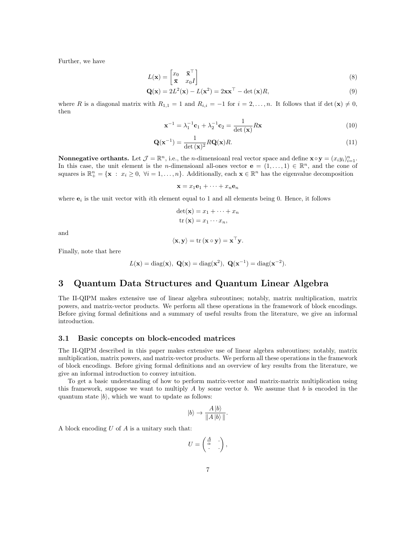Further, we have

$$
L(\mathbf{x}) = \begin{bmatrix} x_0 & \bar{\mathbf{x}}^\top \\ \bar{\mathbf{x}} & x_0 I \end{bmatrix} \tag{8}
$$

$$
\mathbf{Q}(\mathbf{x}) = 2L^2(\mathbf{x}) - L(\mathbf{x}^2) = 2\mathbf{x}\mathbf{x}^\top - \det(\mathbf{x})R,\tag{9}
$$

where R is a diagonal matrix with  $R_{1,1} = 1$  and  $R_{i,i} = -1$  for  $i = 2, ..., n$ . It follows that if det  $(\mathbf{x}) \neq 0$ , then

$$
\mathbf{x}^{-1} = \lambda_1^{-1} \mathbf{c}_1 + \lambda_2^{-1} \mathbf{c}_2 = \frac{1}{\det(\mathbf{x})} R \mathbf{x}
$$
 (10)

$$
\mathbf{Q}(\mathbf{x}^{-1}) = \frac{1}{\det(\mathbf{x})^2} R \mathbf{Q}(\mathbf{x}) R. \tag{11}
$$

**Nonnegative orthants.** Let  $\mathcal{J} = \mathbb{R}^n$ , i.e., the *n*-dimensioanl real vector space and define  $\mathbf{x} \circ \mathbf{y} = (x_i y_i)_{i=1}^n$ . In this case, the unit element is the *n*-dimensioanl all-ones vector  $\mathbf{e} = (1, \ldots, 1) \in \mathbb{R}^n$ , and the cone of squares is  $\mathbb{R}^n_+ = \{ \mathbf{x} : x_i \geq 0, \ \forall i = 1, \dots, n \}.$  Additionally, each  $\mathbf{x} \in \mathbb{R}^n$  has the eigenvalue decomposition

$$
\mathbf{x} = x_1 \mathbf{e}_1 + \dots + x_n \mathbf{e}_n
$$

where  $\mathbf{e}_i$  is the unit vector with *i*th element equal to 1 and all elements being 0. Hence, it follows

$$
\det(\mathbf{x}) = x_1 + \dots + x_n
$$
  
tr(**x**) = x<sub>1</sub> ... x<sub>n</sub>,

and

$$
\langle \mathbf{x}, \mathbf{y} \rangle = \text{tr}(\mathbf{x} \circ \mathbf{y}) = \mathbf{x}^\top \mathbf{y}.
$$

Finally, note that here

$$
L(\mathbf{x}) = \text{diag}(\mathbf{x}), \ \mathbf{Q}(\mathbf{x}) = \text{diag}(\mathbf{x}^2), \ \mathbf{Q}(\mathbf{x}^{-1}) = \text{diag}(\mathbf{x}^{-2}).
$$

# 3 Quantum Data Structures and Quantum Linear Algebra

The II-QIPM makes extensive use of linear algebra subroutines; notably, matrix multiplication, matrix powers, and matrix-vector products. We perform all these operations in the framework of block encodings. Before giving formal definitions and a summary of useful results from the literature, we give an informal introduction.

#### 3.1 Basic concepts on block-encoded matrices

The II-QIPM described in this paper makes extensive use of linear algebra subroutines; notably, matrix multiplication, matrix powers, and matrix-vector products. We perform all these operations in the framework of block encodings. Before giving formal definitions and an overview of key results from the literature, we give an informal introduction to convey intuition.

To get a basic understanding of how to perform matrix-vector and matrix-matrix multiplication using this framework, suppose we want to multiply A by some vector b. We assume that b is encoded in the quantum state  $|b\rangle$ , which we want to update as follows:

$$
|b\rangle \rightarrow \frac{A\,|b\rangle}{\|A\,|b\rangle\,\|}.
$$

A block encoding  $U$  of  $A$  is a unitary such that:

$$
U = \begin{pmatrix} \frac{A}{\alpha} & \cdot \\ \cdot & \cdot \end{pmatrix},
$$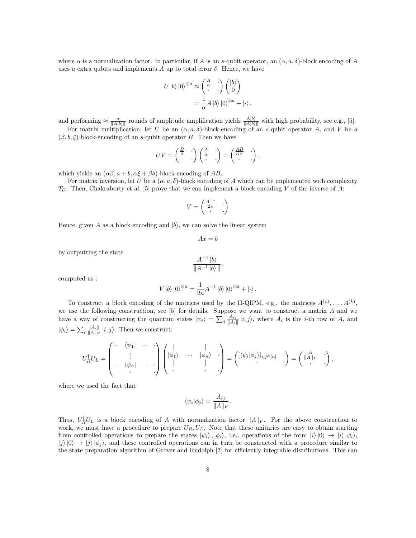where  $\alpha$  is a normalization factor. In particular, if A is an s-qubit operator, an  $(\alpha, a, \delta)$ -block encoding of A uses a extra qubits and implements A up to total error  $\delta$ . Hence, we have

$$
U |b\rangle |0\rangle^{\otimes a} \approx \begin{pmatrix} \frac{A}{\alpha} & \cdot \\ \cdot & \cdot \end{pmatrix} \begin{pmatrix} |b\rangle \\ 0 \end{pmatrix}
$$

$$
= \frac{1}{\alpha} A |b\rangle |0\rangle^{\otimes a} + |\cdot\rangle,
$$

and performing  $\approx \frac{\alpha}{\|A|b\rangle\|}$  rounds of amplitude amplification yields  $\frac{A|b\rangle}{\|A|b\rangle\|}$  with high probability, see e.g., [5].

For matrix multiplication, let U be an  $(\alpha, a, \delta)$ -block-encoding of an s-qubit operator A, and V be a  $(\beta, b, \xi)$ -block-encoding of an s-qubit operator B. Then we have

$$
UV = \begin{pmatrix} \frac{B}{\beta} & \cdot \\ \cdot & \cdot \end{pmatrix} \begin{pmatrix} \frac{A}{\alpha} & \cdot \\ \cdot & \cdot \end{pmatrix} = \begin{pmatrix} \frac{AB}{\alpha\beta} & \cdot \\ \cdot & \cdot \end{pmatrix},
$$

which yields an  $(\alpha\beta, a+b, \alpha\xi+\beta\delta)$ -block-encoding of AB.

For matrix inversion, let U be a  $(\alpha, a, \delta)$ -block encoding of A which can be implemented with complexity  $T_U$ . Then, Chakraborty et al. [5] prove that we can implement a block encoding V of the inverse of A:

$$
V = \begin{pmatrix} \frac{A^{-1}}{2\kappa} & \cdot \\ \cdot & \cdot \end{pmatrix}
$$

Hence, given A as a block encoding and  $|b\rangle$ , we can solve the linear system

$$
Ax = b
$$

by outputting the state

$$
\frac{A^{-1} |b\rangle}{\|A^{-1} |b\rangle\|},
$$

computed as :

$$
V\left|b\right>\left|0\right>^{\otimes a}=\frac{1}{2\kappa}A^{-1}\left|b\right>\left|0\right>^{\otimes a}+\left|\cdot\right>.
$$

To construct a block encoding of the matrices used by the II-QIPM, e.g., the matrices  $A^{(1)}, \ldots, A^{(k)}$ , we use the following construction, see  $[5]$  for details. Suppose we want to construct a matrix  $A$  and we have a way of constructing the quantum states  $|\psi_i\rangle = \sum_j \frac{A_{ij}}{\|A_i\|} |i,j\rangle$ , where  $A_i$  is the *i*-th row of A, and  $|\phi_i\rangle = \sum_i \frac{||A_i||}{||A||_F} |i, j\rangle$ . Then we construct:

$$
U_R^{\dagger}U_L = \begin{pmatrix} - & \langle \psi_1 | & - & \cdot \\ & \vdots & & \cdot \\ - & \langle \psi_n | & - & \cdot \\ & & & \cdot \end{pmatrix} \begin{pmatrix} | & & | & \cdot \\ |\phi_1 \rangle & \cdots & |\phi_n \rangle & \cdot \\ & & | & \cdot \\ \cdot & & & \cdot \end{pmatrix} = \begin{pmatrix} [\langle \psi_i | \phi_j \rangle]_{i,j \in [n]} & \cdot \\ & \cdot \end{pmatrix} = \begin{pmatrix} \frac{A}{||A||_F} & \cdot \\ \cdot & \cdot \end{pmatrix},
$$

where we used the fact that

$$
\langle \psi_i | \phi_j \rangle = \frac{A_{ij}}{\|A\|_F}.
$$

Thus,  $U_R^{\dagger}U_L$  is a block encoding of A with normalization factor  $||A||_F$ . For the above construction to work, we must have a procedure to prepare  $U_R, U_L$ . Note that these unitaries are easy to obtain starting from controlled operations to prepare the states  $|\psi_i\rangle, |\phi_i\rangle$ , i.e., operations of the form  $|i\rangle|0\rangle \rightarrow |i\rangle|\psi_i\rangle$ ,  $|j\rangle|0\rangle \rightarrow |j\rangle|\phi_i\rangle$ , and these controlled operations can in turn be constructed with a procedure similar to the state preparation algorithm of Grover and Rudolph [?] for efficiently integrable distributions. This can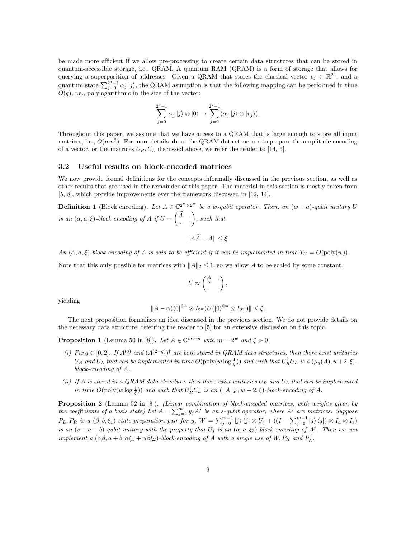be made more efficient if we allow pre-processing to create certain data structures that can be stored in quantum-accessible storage, i.e., QRAM. A quantum RAM (QRAM) is a form of storage that allows for querying a superposition of addresses. Given a QRAM that stores the classical vector  $v_j \in \mathbb{R}^{2^q}$ , and a quantum state  $\sum_{j=0}^{2^q-1} \alpha_j |j\rangle$ , the QRAM asumption is that the following mapping can be performed in time  $O(q)$ , i.e., polylogarithmic in the size of the vector:

$$
\sum_{j=0}^{2^q-1} \alpha_j |j\rangle \otimes |0\rangle \rightarrow \sum_{j=0}^{2^q-1} (\alpha_j |j\rangle \otimes |v_j\rangle).
$$

Throughout this paper, we assume that we have access to a QRAM that is large enough to store all input matrices, i.e.,  $O(mn^2)$ . For more details about the QRAM data structure to prepare the amplitude encoding of a vector, or the matrices  $U_R, U_L$  discussed above, we refer the reader to [14, 5].

#### 3.2 Useful results on block-encoded matrices

We now provide formal definitions for the concepts informally discussed in the previous section, as well as other results that are used in the remainder of this paper. The material in this section is mostly taken from [5, 8], which provide improvements over the framework discussed in [12, 14].

**Definition 1** (Block encoding). Let  $A \in \mathbb{C}^{2^w \times 2^w}$  be a w-qubit operator. Then, an  $(w + a)$ -qubit unitary U is an  $(\alpha, a, \xi)$ -block encoding of A if  $U =$  $\begin{pmatrix} \widetilde A & . \ . & . \end{pmatrix}$ , such that

$$
\|\alpha A - A\| \le \xi
$$

An  $(\alpha, a, \xi)$ -block encoding of A is said to be efficient if it can be implemented in time  $T_U = O(\text{poly}(w))$ .

Note that this only possible for matrices with  $||A||_2 \leq 1$ , so we allow A to be scaled by some constant:

$$
U \approx \begin{pmatrix} \frac{A}{\alpha} & \cdot \\ \cdot & \cdot \end{pmatrix},
$$

yielding

$$
||A - \alpha(\langle 0|^{\otimes a} \otimes I_{2^w})U(|0\rangle^{\otimes a} \otimes I_{2^w})|| \leq \xi.
$$

The next proposition formalizes an idea discussed in the previous section. We do not provide details on the necessary data structure, referring the reader to [5] for an extensive discussion on this topic.

**Proposition 1** (Lemma 50 in [8]). Let  $A \in \mathbb{C}^{m \times m}$  with  $m = 2^w$  and  $\xi > 0$ .

- (i) Fix  $q \in [0,2]$ . If  $A^{(q)}$  and  $(A^{(2-q)})^{\dagger}$  are both stored in QRAM data structures, then there exist unitaries  $U_R$  and  $U_L$  that can be implemented in time  $O(\text{poly}(w \log \frac{1}{\xi}))$  and such that  $U_R^{\dagger} U_L$  is a  $(\mu_q(A), w+2, \xi)$ block-encoding of A.
- (ii) If A is stored in a QRAM data structure, then there exist unitaries  $U_R$  and  $U_L$  that can be implemented in time  $O(\text{poly}(w \log \frac{1}{\xi}))$  and such that  $U_R^{\dagger} U_L$  is an  $(\|A\|_F, w + 2, \xi)$ -block-encoding of A.

Proposition 2 (Lemma 52 in [8]). (Linear combination of block-encoded matrices, with weights given by the coefficients of a basis state) Let  $A = \sum_{j=1}^{m} y_j A^j$  be an s-qubit operator, where  $A^j$  are matrices. Suppose  $P_L, P_R$  is a  $(\beta, b, \xi_1)$ -state-preparation pair for y,  $W = \sum_{j=0}^{m-1} |j\rangle \langle j| \otimes U_j + ((I - \sum_{j=0}^{m-1} |j\rangle \langle j|) \otimes I_a \otimes I_s)$ is an  $(s + a + b)$ -qubit unitary with the property that  $U_j$  is an  $(\alpha, a, \xi_2)$ -block-encoding of  $A^j$ . Then we can implement a  $(\alpha\beta, a+b, \alpha\xi_1+\alpha\beta\xi_2)$ -block-encoding of A with a single use of W,  $P_R$  and  $P_L^{\dagger}$ .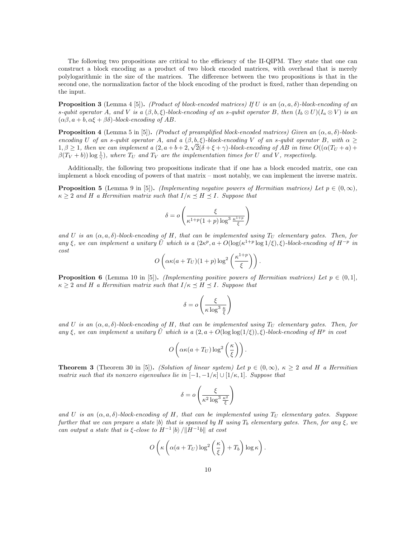The following two propositions are critical to the efficiency of the II-QIPM. They state that one can construct a block encoding as a product of two block encoded matrices, with overhead that is merely polylogarithmic in the size of the matrices. The difference between the two propositions is that in the second one, the normalization factor of the block encoding of the product is fixed, rather than depending on the input.

**Proposition 3** (Lemma 4 [5]). (Product of block-encoded matrices) If U is an  $(\alpha, a, \delta)$ -block-encoding of an s-qubit operator A, and V is a  $(\beta, b, \xi)$ -block-encoding of an s-qubit operator B, then  $(I_b \otimes U)(I_a \otimes V)$  is an  $(\alpha\beta, a + b, \alpha\xi + \beta\delta)$ -block-encoding of AB.

**Proposition 4** (Lemma 5 in [5]). (Product of preamplified block-encoded matrices) Given an  $(\alpha, a, \delta)$ -blockencoding U of an s-qubit operator A, and a  $(\beta, b, \xi)$ -block-encoding V of an s-qubit operator B, with  $\alpha \geq$ 1,  $\beta \ge 1$ , then we can implement a  $(2, a+b+2, \sqrt{2}(\delta+\xi+\gamma))$ -block-encoding of AB in time  $O((\alpha(T_U + a) +$  $\beta(T_V + b)) \log \frac{1}{\gamma}$ , where  $T_U$  and  $T_V$  are the implementation times for U and V, respectively.

Additionally, the following two propositions indicate that if one has a block encoded matrix, one can implement a block encoding of powers of that matrix – most notably, we can implement the inverse matrix.

**Proposition 5** (Lemma 9 in [5]). *(Implementing negative powers of Hermitian matrices)* Let  $p \in (0, \infty)$ ,  $\kappa \geq 2$  and H a Hermitian matrix such that  $I/\kappa \preceq H \preceq I$ . Suppose that

$$
\delta = o\left(\frac{\xi}{\kappa^{1+p}(1+p)\log^3 \frac{\kappa^{1+p}}{\xi}}\right)
$$

and U is an  $(\alpha, a, \delta)$ -block-encoding of H, that can be implemented using  $T_U$  elementary gates. Then, for any  $\xi$ , we can implement a unitary  $\tilde{U}$  which is a  $(2\kappa^p, a + O(\log(\kappa^{1+p} \log 1/\xi), \xi)$ -block-encoding of  $H^{-p}$  in cost

$$
O\left(\alpha\kappa(a+T_U)(1+p)\log^2\left(\frac{\kappa^{1+p}}{\xi}\right)\right).
$$

**Proposition 6** (Lemma 10 in [5]). (Implementing positive powers of Hermitian matrices) Let  $p \in (0,1]$ ,  $\kappa > 2$  and H a Hermitian matrix such that  $I/\kappa \prec H \prec I$ . Suppose that

$$
\delta = o\left(\frac{\xi}{\kappa \log^3 \frac{\kappa}{\xi}}\right)
$$

and U is an  $(\alpha, a, \delta)$ -block-encoding of H, that can be implemented using  $T_U$  elementary gates. Then, for any  $\xi$ , we can implement a unitary  $\tilde{U}$  which is a  $(2, a + O(\log \log(1/\xi)), \tilde{\xi})$ -block-encoding of  $H^p$  in cost

$$
O\left(\alpha\kappa(a+T_U)\log^2\left(\frac{\kappa}{\xi}\right)\right).
$$

**Theorem 3** (Theorem 30 in [5]). (Solution of linear system) Let  $p \in (0, \infty)$ ,  $\kappa > 2$  and H a Hermitian matrix such that its nonzero eigenvalues lie in  $[-1, -1/\kappa] \cup [1/\kappa, 1]$ . Suppose that

$$
\delta = o\left(\frac{\xi}{\kappa^2 \log^3 \frac{\kappa^2}{\xi}}\right)
$$

and U is an  $(\alpha, a, \delta)$ -block-encoding of H, that can be implemented using  $T_U$  elementary gates. Suppose further that we can prepare a state  $|b\rangle$  that is spanned by H using  $T_b$  elementary gates. Then, for any  $\xi$ , we can output a state that is  $\xi$ -close to  $H^{-1}$  |b)  $/||H^{-1}b||$  at cost

$$
O\left(\kappa\left(\alpha(a+T_U)\log^2\left(\frac{\kappa}{\xi}\right)+T_b\right)\log\kappa\right).
$$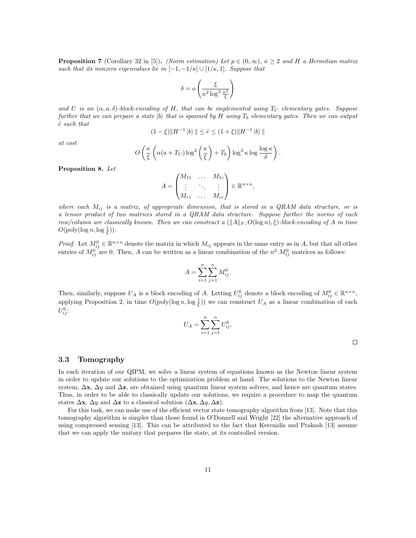**Proposition 7** (Corollary 32 in [5]). (Norm estimation) Let  $p \in (0, \infty)$ ,  $\kappa \geq 2$  and H a Hermitian matrix such that its nonzero eigenvalues lie in  $[-1, -1/\kappa] \cup [1/\kappa, 1]$ . Suppose that

$$
\delta = o\left(\frac{\xi}{\kappa^2 \log^3 \frac{\kappa^2}{\xi}}\right)
$$

and U is an  $(\alpha, a, \delta)$ -block-encoding of H, that can be implemented using  $T_U$  elementary gates. Suppose further that we can prepare a state  $|b\rangle$  that is spanned by H using  $T_b$  elementary gates. Then we can output  $\tilde{e}$  such that

$$
(1 - \xi) \|H^{-1} |b\rangle \| \le \tilde{e} \le (1 + \xi) \|H^{-1} |b\rangle \|
$$

at cost

$$
O\left(\frac{\kappa}{\xi}\left(\alpha(a+T_U)\log^2\left(\frac{\kappa}{\xi}\right)+T_b\right)\log^3\kappa\log\frac{\log\kappa}{\delta}\right).
$$

Proposition 8. Let

$$
A = \begin{pmatrix} M_{11} & \dots & M_{1c} \\ \vdots & \ddots & \vdots \\ M_{r1} & \dots & M_{rc} \end{pmatrix} \in \mathbb{R}^{n \times n},
$$

where each  $M_{ij}$  is a matrix, of appropriate dimension, that is stored in a QRAM data structure, or is a tensor product of two matrices stored in a QRAM data structure. Suppose further the norms of each row/column are classically known. Then we can construct a  $(||A||_F, O(log n), \xi)$ -block-encoding of A in time  $O(\text{poly}(\log n, \log \frac{1}{\xi})).$ 

*Proof.* Let  $M_{ij}^0 \in \mathbb{R}^{n \times n}$  denote the matrix in which  $M_{ij}$  appears in the same entry as in A, but that all other entries of  $M_{ij}^0$  are 0. Then, A can be written as a linear combination of the  $n^2$   $M_{ij}^0$  matrices as follows:

$$
A = \sum_{i=1}^{n} \sum_{j=1}^{n} M_{ij}^{0}.
$$

Then, similarly, suppose  $U_A$  is a block encoding of A. Letting  $U_{ij}^0$  denote a block encoding of  $M_{ij}^0 \in \mathbb{R}^{n \times n}$ , applying Proposition 2, in time  $O(\text{poly}(\log n, \log \frac{1}{\xi}))$  we can construct  $U_A$  as a linear combination of each  $U_{ij}^0$ :

$$
U_A = \sum_{i=1}^{n} \sum_{j=1}^{n} U_{ij}^0.
$$

 $\Box$ 

#### 3.3 Tomography

In each iteration of our QIPM, we solve a linear system of equations known as the Newton linear system in order to update our solutions to the optimization problem at hand. The solutions to the Newton linear system,  $\Delta$ x,  $\Delta$ y and  $\Delta$ z, are obtained using quantum linear system solvers, and hence are quantum states. Thus, in order to be able to classically update our solutions, we require a procedure to map the quantum states  $\Delta$ x,  $\Delta$ y and  $\Delta$ z to a classical solution ( $\Delta$ x,  $\Delta$ y,  $\Delta$ z).

For this task, we can make use of the efficient vector state tomography algorithm from [13]. Note that this tomography algorithm is simpler than those found in O'Donnell and Wright [22] the alternative approach of using compressed sensing [13]. This can be attributed to the fact that Kerenidis and Prakash [13] assume that we can apply the unitary that prepares the state, at its controlled version.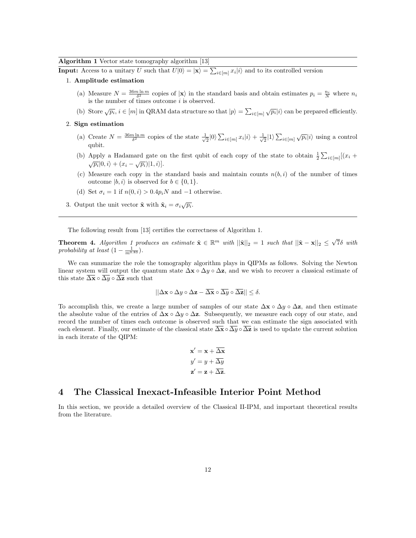Algorithm 1 Vector state tomography algorithm [13]

**Input:** Access to a unitary U such that  $U|0\rangle = |\mathbf{x}\rangle = \sum_{i \in [m]} x_i |i\rangle$  and to its controlled version

#### 1. Amplitude estimation

- (a) Measure  $N = \frac{36m \ln m}{\delta^2}$  copies of  $|\mathbf{x}\rangle$  in the standard basis and obtain estimates  $p_i = \frac{n_i}{N}$  where  $n_i$ is the number of times outcome  $i$  is observed.
- (b) Store  $\sqrt{p_i}$ ,  $i \in [m]$  in QRAM data structure so that  $|p\rangle = \sum_{i \in [m]} \sqrt{p_i} |i\rangle$  can be prepared efficiently.

### 2. Sign estimation

- (a) Create  $N = \frac{36m \ln m}{\delta^2}$  copies of the state  $\frac{1}{\sqrt{2}}|0\rangle \sum_{i \in [m]} x_i|i\rangle + \frac{1}{\sqrt{2}}|1\rangle \sum_{i \in [m]} \sqrt{p_i}|i\rangle$  using a control qubit.
- (b) Apply a Hadamard gate on the first qubit of each copy of the state to obtain  $\frac{1}{2} \sum_{i \in [m]} [(x_i +$  $\sqrt{p_i} |0, i\rangle + (x_i - \sqrt{p_i}) |1, i\rangle].$
- (c) Measure each copy in the standard basis and maintain counts  $n(b, i)$  of the number of times outcome  $|b, i\rangle$  is observed for  $b \in \{0, 1\}.$
- (d) Set  $\sigma_i = 1$  if  $n(0, i) > 0.4p_iN$  and  $-1$  otherwise.
- 3. Output the unit vector  $\tilde{\mathbf{x}}$  with  $\tilde{\mathbf{x}}_i = \sigma_i \sqrt{p_i}$ .

The following result from [13] certifies the correctness of Algorithm 1.

**Theorem 4.** Algorithm 1 produces an estimate  $\tilde{\mathbf{x}} \in \mathbb{R}^m$  with  $||\tilde{\mathbf{x}}||_2 = 1$  such that  $||\tilde{\mathbf{x}} - \mathbf{x}||_2 \leq \sqrt{7}\delta$  with probability at least  $(1 - \frac{1}{m^{0.83}})$ .

We can summarize the role the tomography algorithm plays in QIPMs as follows. Solving the Newton linear system will output the quantum state  $\Delta x \circ \Delta y \circ \Delta z$ , and we wish to recover a classical estimate of this state  $\overline{\Delta x} \circ \overline{\Delta y} \circ \overline{\Delta z}$  such that

$$
||\Delta \mathbf{x} \circ \Delta y \circ \Delta \mathbf{z} - \overline{\Delta \mathbf{x}} \circ \overline{\Delta y} \circ \overline{\Delta \mathbf{z}}|| \le \delta.
$$

To accomplish this, we create a large number of samples of our state  $\Delta \mathbf{x} \circ \Delta y \circ \Delta \mathbf{z}$ , and then estimate the absolute value of the entries of  $\Delta \mathbf{x} \circ \Delta y \circ \Delta \mathbf{z}$ . Subsequently, we measure each copy of our state, and record the number of times each outcome is observed such that we can estimate the sign associated with each element. Finally, our estimate of the classical state  $\overline{\Delta x} \circ \overline{\Delta y} \circ \overline{\Delta z}$  is used to update the current solution in each iterate of the QIPM:

$$
\mathbf{x}' = \mathbf{x} + \Delta \mathbf{x}
$$

$$
y' = y + \overline{\Delta y}
$$

$$
\mathbf{z}' = \mathbf{z} + \overline{\Delta z}.
$$

# 4 The Classical Inexact-Infeasible Interior Point Method

In this section, we provide a detailed overview of the Classical II-IPM, and important theoretical results from the literature.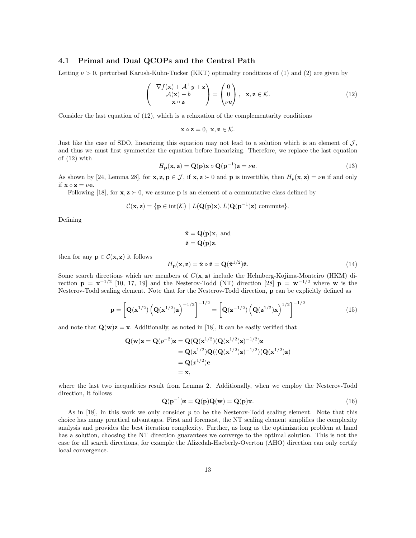#### 4.1 Primal and Dual QCOPs and the Central Path

Letting  $\nu > 0$ , perturbed Karush-Kuhn-Tucker (KKT) optimality conditions of (1) and (2) are given by

$$
\begin{pmatrix} -\nabla f(\mathbf{x}) + \mathcal{A}^{\top} y + \mathbf{z} \\ \mathcal{A}(\mathbf{x}) - b \\ \mathbf{x} \circ \mathbf{z} \end{pmatrix} = \begin{pmatrix} 0 \\ 0 \\ \nu \mathbf{e} \end{pmatrix}, \quad \mathbf{x}, \mathbf{z} \in \mathcal{K}.
$$
 (12)

Consider the last equation of (12), which is a relaxation of the complementarity conditions

$$
\mathbf{x} \circ \mathbf{z} = 0, \ \mathbf{x}, \mathbf{z} \in \mathcal{K}.
$$

Just like the case of SDO, linearizing this equation may not lead to a solution which is an element of  $J$ , and thus we must first symmetrize the equation before linearizing. Therefore, we replace the last equation of (12) with

$$
H_{\mathbf{p}}(\mathbf{x}, \mathbf{z}) = \mathbf{Q}(\mathbf{p})\mathbf{x} \circ \mathbf{Q}(\mathbf{p}^{-1})\mathbf{z} = \nu \mathbf{e}.\tag{13}
$$

As shown by [24, Lemma 28], for  $\mathbf{x}, \mathbf{z}, \mathbf{p} \in \mathcal{J}$ , if  $\mathbf{x}, \mathbf{z} \succ 0$  and p is invertible, then  $H_p(\mathbf{x}, \mathbf{z}) = \nu \mathbf{e}$  if and only if  $\mathbf{x} \circ \mathbf{z} = \nu \mathbf{e}$ .

Following [18], for  $\mathbf{x}, \mathbf{z} \succ 0$ , we assume **p** is an element of a commutative class defined by

$$
\mathcal{C}(\mathbf{x}, \mathbf{z}) = \{ \mathbf{p} \in \text{int}(\mathcal{K}) \mid L(\mathbf{Q}(\mathbf{p})\mathbf{x}), L(\mathbf{Q}(\mathbf{p}^{-1})\mathbf{z}) \text{ commute} \}.
$$

Defining

$$
\hat{\mathbf{x}} = \mathbf{Q}(\mathbf{p})\mathbf{x}, \text{ and}
$$

$$
\hat{\mathbf{z}} = \mathbf{Q}(\mathbf{p})\mathbf{z},
$$

then for any  $\mathbf{p} \in \mathcal{C}(\mathbf{x}, \mathbf{z})$  it follows

$$
H_{\mathbf{p}}(\mathbf{x}, \mathbf{z}) = \hat{\mathbf{x}} \circ \hat{\mathbf{z}} = \mathbf{Q}(\hat{\mathbf{x}}^{1/2})\hat{\mathbf{z}}.
$$
 (14)

Some search directions which are members of  $C(\mathbf{x}, \mathbf{z})$  include the Helmberg-Kojima-Monteiro (HKM) direction  $\mathbf{p} = \mathbf{x}^{-1/2}$  [10, 17, 19] and the Nesterov-Todd (NT) direction [28]  $\mathbf{p} = \mathbf{w}^{-1/2}$  where w is the Nesterov-Todd scaling element. Note that for the Nesterov-Todd direction, p can be explicitly defined as

$$
\mathbf{p} = \left[ \mathbf{Q}(\mathbf{x}^{1/2}) \left( \mathbf{Q}(\mathbf{x}^{1/2}) \mathbf{z} \right)^{-1/2} \right]^{-1/2} = \left[ \mathbf{Q}(\mathbf{z}^{-1/2}) \left( \mathbf{Q}(\mathbf{z}^{1/2}) \mathbf{x} \right)^{1/2} \right]^{-1/2}
$$
(15)

and note that  $\mathbf{Q}(\mathbf{w})\mathbf{z} = \mathbf{x}$ . Additionally, as noted in [18], it can be easily verified that

$$
Q(w)z = Q(p^{-2})z = Q(Q(x^{1/2})(Q(x^{1/2})z)^{-1/2})z
$$
  
=  $Q(x^{1/2})Q((Q(x^{1/2})z)^{-1/2})(Q(x^{1/2})z)$   
=  $Q(x^{1/2})e$   
= x,

where the last two inequalities result from Lemma 2. Additionally, when we employ the Nesterov-Todd direction, it follows

$$
\mathbf{Q}(\mathbf{p}^{-1})\mathbf{z} = \mathbf{Q}(\mathbf{p})\mathbf{Q}(\mathbf{w}) = \mathbf{Q}(\mathbf{p})\mathbf{x}.\tag{16}
$$

As in [18], in this work we only consider p to be the Nesterov-Todd scaling element. Note that this choice has many practical advantages. First and foremost, the NT scaling element simplifies the complexity analysis and provides the best iteration complexity. Further, as long as the optimization problem at hand has a solution, choosing the NT direction guarantees we converge to the optimal solution. This is not the case for all search directions, for example the Alizedah-Haeberly-Overton (AHO) direction can only certify local convergence.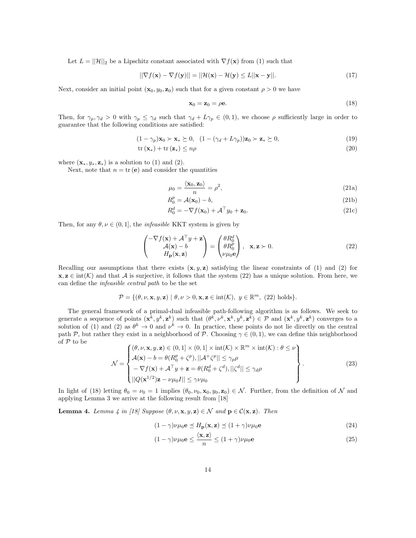Let  $L = ||\mathcal{H}||_2$  be a Lipschitz constant associated with  $\nabla f(\mathbf{x})$  from (1) such that

$$
||\nabla f(\mathbf{x}) - \nabla f(\mathbf{y})|| = ||\mathcal{H}(\mathbf{x}) - \mathcal{H}(\mathbf{y}) \le L||\mathbf{x} - \mathbf{y}||. \tag{17}
$$

Next, consider an initial point  $(\mathbf{x}_0, y_0, \mathbf{z}_0)$  such that for a given constant  $\rho > 0$  we have

$$
\mathbf{x}_0 = \mathbf{z}_0 = \rho \mathbf{e}.\tag{18}
$$

Then, for  $\gamma_p, \gamma_d > 0$  with  $\gamma_p \leq \gamma_d$  such that  $\gamma_d + L\gamma_p \in (0,1)$ , we choose  $\rho$  sufficiently large in order to guarantee that the following conditions are satisfied:

$$
(1 - \gamma_p)\mathbf{x}_0 \succ \mathbf{x}_* \succeq 0, \quad (1 - (\gamma_d + L\gamma_p))\mathbf{z}_0 \succ \mathbf{z}_* \succeq 0,\tag{19}
$$

$$
\text{tr}\left(\mathbf{x}_{*}\right) + \text{tr}\left(\mathbf{z}_{*}\right) \leq n\rho\tag{20}
$$

where  $(\mathbf{x}_*, y_*, \mathbf{z}_*)$  is a solution to (1) and (2).

Next, note that  $n = \text{tr}(\mathbf{e})$  and consider the quantities

$$
\mu_0 = \frac{\langle \mathbf{x}_0, \mathbf{z}_0 \rangle}{n} = \rho^2,\tag{21a}
$$

$$
R_0^p = \mathcal{A}(\mathbf{x}_0) - b,\tag{21b}
$$

$$
R_0^d = -\nabla f(\mathbf{x}_0) + \mathcal{A}^\top y_0 + \mathbf{z}_0.
$$
 (21c)

Then, for any  $\theta, \nu \in (0, 1]$ , the *infeasible* KKT system is given by

$$
\begin{pmatrix}\n-\nabla f(\mathbf{x}) + \mathcal{A}^{\top} y + \mathbf{z} \\
\mathcal{A}(\mathbf{x}) - b \\
H_{\mathbf{p}}(\mathbf{x}, \mathbf{z})\n\end{pmatrix} = \begin{pmatrix}\n\theta R_0^d \\
\theta R_0^p \\
\nu \mu_0 \mathbf{e}\n\end{pmatrix}, \quad \mathbf{x}, \mathbf{z} \succ 0.
$$
\n(22)

Recalling our assumptions that there exists  $(x, y, z)$  satisfying the linear constraints of (1) and (2) for  $x, z \in \text{int}(\mathcal{K})$  and that A is surjective, it follows that the system (22) has a unique solution. From here, we can define the infeasible central path to be the set

$$
\mathcal{P} = \{(\theta, \nu, \mathbf{x}, y, \mathbf{z}) \mid \theta, \nu > 0, \mathbf{x}, \mathbf{z} \in \text{int}(\mathcal{K}), y \in \mathbb{R}^m, (22) \text{ holds}\}.
$$

The general framework of a primal-dual infeasible path-following algorithm is as follows. We seek to generate a sequence of points  $(\mathbf{x}^k, y^k, \mathbf{z}^k)$  such that  $(\theta^k, \nu^k, \mathbf{x}^k, y^k, \mathbf{z}^k) \in \mathcal{P}$  and  $(\mathbf{x}^k, y^k, \mathbf{z}^k)$  converges to a solution of (1) and (2) as  $\theta^k \to 0$  and  $\nu^k \to 0$ . In practice, these points do not lie directly on the central path P, but rather they exist in a neighborhood of P. Choosing  $\gamma \in (0,1)$ , we can define this neighborhood of  ${\mathcal P}$  to be

$$
\mathcal{N} = \begin{cases}\n(\theta, \nu, \mathbf{x}, y, \mathbf{z}) \in (0, 1] \times (0, 1] \times \text{int}(\mathcal{K}) \times \mathbb{R}^m \times \text{int}(\mathcal{K}) : \theta \le \nu \\
\mathcal{A}(\mathbf{x}) - b = \theta(R_0^p + \zeta^p), \|\mathcal{A}^+ \zeta^p\| \le \gamma_p \rho \\
-\nabla f(\mathbf{x}) + \mathcal{A}^\top y + \mathbf{z} = \theta(R_0^d + \zeta^d), \|\zeta^d\| \le \gamma_d \rho \\
||Q(\mathbf{x}^{1/2})\mathbf{z} - \nu \mu_0 I\| \le \gamma \nu \mu_0\n\end{cases}
$$
\n(23)

In light of (18) letting  $\theta_0 = \nu_0 = 1$  implies  $(\theta_0, \nu_0, \mathbf{x}_0, y_0, \mathbf{z}_0) \in \mathcal{N}$ . Further, from the definition of N and applying Lemma 3 we arrive at the following result from [18]

**Lemma 4.** Lemma 4 in [18] Suppose  $(\theta, \nu, \mathbf{x}, y, \mathbf{z}) \in \mathcal{N}$  and  $\mathbf{p} \in \mathcal{C}(\mathbf{x}, \mathbf{z})$ . Then

$$
(1 - \gamma)\nu\mu_0 \mathbf{e} \preceq H_\mathbf{p}(\mathbf{x}, \mathbf{z}) \preceq (1 + \gamma)\nu\mu_0 \mathbf{e}
$$
\n(24)

$$
(1 - \gamma)\nu\mu_0 \mathbf{e} \le \frac{\langle \mathbf{x}, \mathbf{z} \rangle}{n} \le (1 + \gamma)\nu\mu_0 \mathbf{e}
$$
 (25)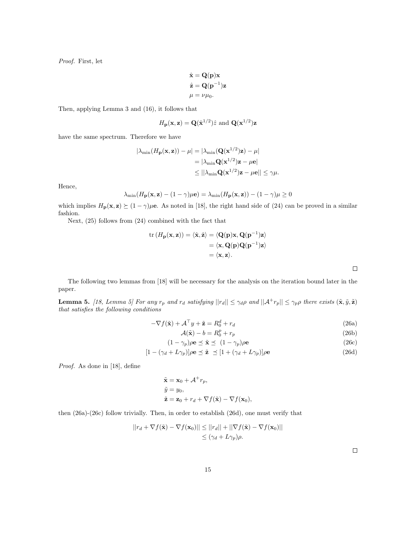Proof. First, let

$$
\hat{\mathbf{x}} = \mathbf{Q}(\mathbf{p})\mathbf{x} \n\hat{\mathbf{z}} = \mathbf{Q}(\mathbf{p}^{-1})\mathbf{z} \n\mu = \nu \mu_0.
$$

Then, applying Lemma 3 and (16), it follows that

$$
H_{\mathbf{p}}(\mathbf{x}, \mathbf{z}) = \mathbf{Q}(\hat{\mathbf{x}}^{1/2})\hat{z}
$$
 and  $\mathbf{Q}(\mathbf{x}^{1/2})\mathbf{z}$ 

have the same spectrum. Therefore we have

$$
|\lambda_{\min}(H_{\mathbf{p}}(\mathbf{x}, \mathbf{z})) - \mu| = |\lambda_{\min}(\mathbf{Q}(\mathbf{x}^{1/2})\mathbf{z}) - \mu|
$$
  
=  $|\lambda_{\min} \mathbf{Q}(\mathbf{x}^{1/2})\mathbf{z} - \mu \mathbf{e}|$   
 $\leq ||\lambda_{\min} \mathbf{Q}(\mathbf{x}^{1/2})\mathbf{z} - \mu \mathbf{e}|| \leq \gamma \mu.$ 

Hence,

$$
\lambda_{\min}(H_{\mathbf{p}}(\mathbf{x}, \mathbf{z}) - (1 - \gamma)\mu \mathbf{e}) = \lambda_{\min}(H_{\mathbf{p}}(\mathbf{x}, \mathbf{z})) - (1 - \gamma)\mu \ge 0
$$

which implies  $H_p(\mathbf{x}, \mathbf{z}) \succeq (1 - \gamma)\mu\mathbf{e}$ . As noted in [18], the right hand side of (24) can be proved in a similar fashion.

Next, (25) follows from (24) combined with the fact that

$$
\text{tr} (H_{\mathbf{p}}(\mathbf{x}, \mathbf{z})) = \langle \hat{\mathbf{x}}, \hat{\mathbf{z}} \rangle = \langle \mathbf{Q}(\mathbf{p}) \mathbf{x}, \mathbf{Q}(\mathbf{p}^{-1}) \mathbf{z} \rangle
$$
  
=  $\langle \mathbf{x}, \mathbf{Q}(\mathbf{p}) \mathbf{Q}(\mathbf{p}^{-1}) \mathbf{z} \rangle$   
=  $\langle \mathbf{x}, \mathbf{z} \rangle$ .

The following two lemmas from [18] will be necessary for the analysis on the iteration bound later in the paper.

**Lemma 5.** [18, Lemma 5] For any  $r_p$  and  $r_d$  satisfying  $||r_d|| \leq \gamma_d \rho$  and  $||A^+r_p|| \leq \gamma_p \rho$  there exists  $(\tilde{\mathbf{x}}, \tilde{y}, \tilde{\mathbf{z}})$ that satisfies the following conditions

$$
-\nabla f(\tilde{\mathbf{x}}) + \mathcal{A}^{\top} y + \tilde{\mathbf{z}} = R_0^d + r_d \tag{26a}
$$

$$
\mathcal{A}(\tilde{\mathbf{x}}) - b = R_0^p + r_p \tag{26b}
$$

$$
(1 - \gamma_p)\rho \mathbf{e} \preceq \tilde{\mathbf{x}} \preceq (1 - \gamma_p)\rho \mathbf{e}
$$
 (26c)

$$
[1 - (\gamma_d + L\gamma_p)]\rho \mathbf{e} \preceq \tilde{\mathbf{z}} \preceq [1 + (\gamma_d + L\gamma_p)]\rho \mathbf{e}
$$
\n(26d)

Proof. As done in [18], define

$$
\tilde{\mathbf{x}} = \mathbf{x}_0 + \mathcal{A}^+ r_p,
$$
  
\n
$$
\tilde{y} = y_0,
$$
  
\n
$$
\tilde{\mathbf{z}} = \mathbf{z}_0 + r_d + \nabla f(\tilde{\mathbf{x}}) - \nabla f(\mathbf{x}_0),
$$

then (26a)-(26c) follow trivially. Then, in order to establish (26d), one must verify that

$$
||r_d + \nabla f(\tilde{\mathbf{x}}) - \nabla f(\mathbf{x}_0)|| \leq ||r_d|| + ||\nabla f(\tilde{\mathbf{x}}) - \nabla f(\mathbf{x}_0)||
$$
  

$$
\leq (\gamma_d + L\gamma_p)\rho.
$$

 $\Box$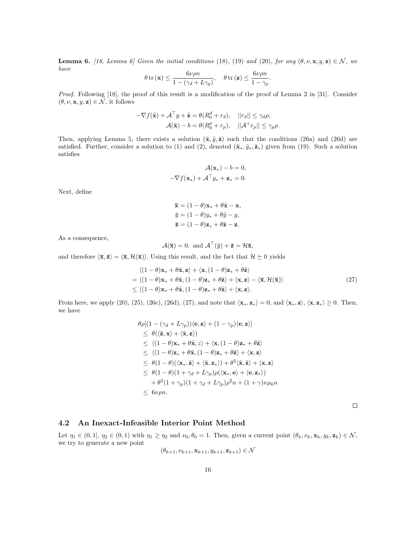**Lemma 6.** [18, Lemma 6] Given the initial conditions (18), (19) and (20), for any  $(\theta, \nu, \mathbf{x}, y, \mathbf{z}) \in \mathcal{N}$ , we have

$$
\theta \operatorname{tr} (\mathbf{x}) \le \frac{6\nu\rho n}{1 - (\gamma_d + L\gamma_p)}, \quad \theta \operatorname{tr} (\mathbf{z}) \le \frac{6\nu\rho n}{1 - \gamma_p}.
$$

Proof. Following [18], the proof of this result is a modification of the proof of Lemma 2 in [31]. Consider  $(\theta, \nu, \mathbf{x}, y, \mathbf{z}) \in \mathcal{N}$ , it follows

$$
-\nabla f(\tilde{\mathbf{x}}) + \mathcal{A}^{\top} y + \tilde{\mathbf{z}} = \theta(R_0^d + r_d), \quad ||r_d|| \le \gamma_d \rho,
$$
  

$$
\mathcal{A}(\tilde{\mathbf{x}}) - b = \theta(R_0^p + r_p), \quad ||\mathcal{A}^+ r_p|| \le \gamma_p \rho.
$$

Then, applying Lemma 5, there exists a solution  $(\tilde{\mathbf{x}}, \tilde{y}, \tilde{\mathbf{z}})$  such that the conditions (26a) and (26d) are satisfied. Further, consider a solution to (1) and (2), denoted  $(\tilde{\mathbf{x}}_*, \tilde{y}_*, \tilde{\mathbf{z}}_*)$  given from (19). Such a solution satisfies

$$
\mathcal{A}(\mathbf{x}_{*}) - b = 0,
$$
  

$$
-\nabla f(\mathbf{x}_{*}) + \mathcal{A}^{\top} y_{*} + \mathbf{z}_{*} = 0.
$$

Next, define

$$
\overline{\mathbf{x}} = (1 - \theta)\mathbf{x}_* + \theta\tilde{\mathbf{x}} - \mathbf{x},
$$
  
\n
$$
\overline{y} = (1 - \theta)y_* + \theta\tilde{y} - y,
$$
  
\n
$$
\overline{\mathbf{z}} = (1 - \theta)\mathbf{z}_* + \theta\tilde{\mathbf{z}} - \mathbf{z}.
$$

As a consequence,

$$
\mathcal{A}(\bar{\mathbf{x}}) = 0, \text{ and } \mathcal{A}^{\top}(\bar{y}) + \bar{\mathbf{z}} = \mathcal{H}\bar{\mathbf{x}},
$$

and therefore  $\langle \bar{\mathbf{x}}, \bar{\mathbf{z}} \rangle = \langle \bar{\mathbf{x}}, \mathcal{H}(\bar{\mathbf{x}}) \rangle$ . Using this result, and the fact that  $\mathcal{H} \succeq 0$  yields

$$
\langle (1 - \theta)\mathbf{x}_{*} + \theta\tilde{\mathbf{x}}, \mathbf{z} \rangle + \langle \mathbf{x}, (1 - \theta)\mathbf{z}_{*} + \theta\tilde{\mathbf{z}} \rangle = \langle (1 - \theta)\mathbf{x}_{*} + \theta\tilde{\mathbf{x}}, (1 - \theta)\mathbf{z}_{*} + \theta\tilde{\mathbf{z}} \rangle + \langle \mathbf{x}, \mathbf{z} \rangle - \langle \bar{\mathbf{x}}, \mathcal{H}(\bar{\mathbf{x}}) \rangle \leq \langle (1 - \theta)\mathbf{x}_{*} + \theta\tilde{\mathbf{x}}, (1 - \theta)\mathbf{z}_{*} + \theta\tilde{\mathbf{z}} \rangle + \langle \mathbf{x}, \mathbf{z} \rangle.
$$
 (27)

From here, we apply (20), (25), (26c), (26d), (27), and note that  $\langle \mathbf{x}_*, \mathbf{z}_* \rangle = 0$ , and  $\langle \mathbf{x}_*, \mathbf{z} \rangle$ ,  $\langle \mathbf{x}, \mathbf{z}_* \rangle \ge 0$ . Then, we have

$$
\theta \rho [(1 - (\gamma_d + L\gamma_p))\langle \mathbf{e}, \mathbf{z} \rangle + (1 - \gamma_p)\langle \mathbf{e}, \mathbf{z} \rangle] \n\leq \theta (\langle \tilde{\mathbf{z}}, \mathbf{x} \rangle + \langle \tilde{\mathbf{x}}, \mathbf{z} \rangle) \n\leq \langle (1 - \theta) \mathbf{x}_* + \theta \tilde{\mathbf{x}}, z \rangle + \langle \mathbf{x}, (1 - \theta) \mathbf{z}_* + \theta \tilde{\mathbf{z}} \rangle \n\leq \langle (1 - \theta) \mathbf{z}_* + \theta \tilde{\mathbf{x}}, (1 - \theta) \mathbf{z}_* + \theta \tilde{\mathbf{z}} \rangle + \langle \mathbf{x}, \mathbf{z} \rangle \n\leq \theta (1 - \theta) (\langle \mathbf{x}_*, \tilde{\mathbf{z}} \rangle + \langle \tilde{\mathbf{x}}, \mathbf{z}_* \rangle) + \theta^2 \langle \tilde{\mathbf{x}}, \tilde{\mathbf{z}} \rangle + \langle \mathbf{x}, \mathbf{z} \rangle \n\leq \theta (1 - \theta) (1 + \gamma_d + L\gamma_p) \rho (\langle \mathbf{x}_*, \mathbf{e} \rangle + \langle \mathbf{e}, \mathbf{z}_* \rangle) \n+ \theta^2 (1 + \gamma_p) (1 + \gamma_d + L\gamma_p) \rho^2 n + (1 + \gamma) \nu \mu_0 n \n\leq 6 \nu \rho n.
$$

 $\Box$ 

#### 4.2 An Inexact-Infeasible Interior Point Method

Let  $\eta_1 \in (0,1], \eta_2 \in (0,1)$  with  $\eta_1 \geq \eta_2$  and  $\nu_0, \theta_0 = 1$ . Then, given a current point  $(\theta_k, \nu_k, \mathbf{x}_k, y_k, \mathbf{z}_k) \in \mathcal{N}$ , we try to generate a new point

$$
(\theta_{k+1}, \nu_{k+1}, \mathbf{x}_{k+1}, y_{k+1}, \mathbf{z}_{k+1}) \in \mathcal{N}
$$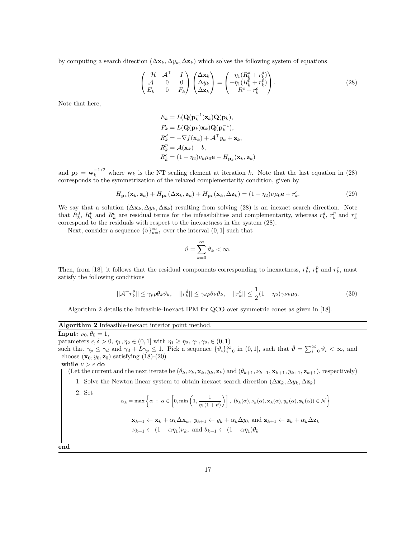by computing a search direction  $(\Delta \mathbf{x}_k, \Delta y_k, \Delta \mathbf{z}_k)$  which solves the following system of equations

$$
\begin{pmatrix}\n-\mathcal{H} & \mathcal{A}^{\top} & I \\
\mathcal{A} & 0 & 0 \\
E_k & 0 & F_k\n\end{pmatrix}\n\begin{pmatrix}\n\Delta \mathbf{x}_k \\
\Delta y_k \\
\Delta \mathbf{z}_k\n\end{pmatrix} =\n\begin{pmatrix}\n-\eta_1 (R_k^d + r_k^d) \\
-\eta_1 (R_k^p + r_k^p) \\
R^c + r_k^c\n\end{pmatrix}.
$$
\n(28)

Note that here,

$$
E_k = L(\mathbf{Q}(\mathbf{p}_k^{-1})\mathbf{z}_k)\mathbf{Q}(\mathbf{p}_k),
$$
  
\n
$$
F_k = L(\mathbf{Q}(\mathbf{p}_k)\mathbf{x}_k)\mathbf{Q}(\mathbf{p}_k^{-1}),
$$
  
\n
$$
R_k^d = -\nabla f(\mathbf{x}_k) + \mathcal{A}^\top y_k + \mathbf{z}_k,
$$
  
\n
$$
R_k^p = \mathcal{A}(\mathbf{x}_k) - b,
$$
  
\n
$$
R_k^c = (1 - \eta_2)\nu_k \mu_0 \mathbf{e} - H_{\mathbf{p}_k}(\mathbf{x}_k, \mathbf{z}_k)
$$

and  $\mathbf{p}_k = \mathbf{w}_k^{-1/2}$  where  $\mathbf{w}_k$  is the NT scaling element at iteration k. Note that the last equation in (28) corresponds to the symmetrization of the relaxed complementarity condition, given by

$$
H_{\mathbf{p}_k}(\mathbf{x}_k, \mathbf{z}_k) + H_{\mathbf{p}_k}(\Delta \mathbf{x}_k, \mathbf{z}_k) + H_{\mathbf{p}_k}(\mathbf{x}_k, \Delta \mathbf{z}_k) = (1 - \eta_2)\nu\mu_0 \mathbf{e} + r_k^c.
$$
\n(29)

We say that a solution  $(\Delta \mathbf{x}_k, \Delta y_k, \Delta \mathbf{z}_k)$  resulting from solving (28) is an inexact search direction. Note that  $R_k^d$ ,  $R_k^p$  and  $R_k^c$  are residual terms for the infeasibilities and complementarity, whereas  $r_k^d$ ,  $r_k^p$  and  $r_k^c$ correspond to the residuals with respect to the inexactness in the system (28).

Next, consider a sequence  $\{\vartheta\}_{k=1}^{\infty}$  over the interval  $(0,1]$  such that

$$
\bar{\vartheta} = \sum_{k=0}^{\infty} \vartheta_k < \infty.
$$

Then, from [18], it follows that the residual components corresponding to inexactness,  $r_k^d$ ,  $r_k^p$  and  $r_k^c$ , must satisfy the following conditions

$$
||\mathcal{A}^+ r_k^p|| \le \gamma_p \rho \theta_k \vartheta_k, \quad ||r_k^d|| \le \gamma_d \rho \theta_k \vartheta_k, \quad ||r_k^c|| \le \frac{1}{2} (1 - \eta_2) \gamma \nu_k \mu_0. \tag{30}
$$

Algorithm 2 details the Infeasible-Inexact IPM for QCO over symmetric cones as given in [18].

| Algorithm 2 Infeasible-inexact interior point method. |  |  |  |  |  |
|-------------------------------------------------------|--|--|--|--|--|
|-------------------------------------------------------|--|--|--|--|--|

**Input:**  $\nu_0, \theta_0 = 1$ , parameters  $\epsilon, \delta > 0, \eta_1, \eta_2 \in (0, 1]$  with  $\eta_1 \geq \eta_2, \gamma_1, \gamma_2, \in (0, 1)$ such that  $\gamma_p \leq \gamma_d$  and  $\gamma_d + L\gamma_p \leq 1$ . Pick a sequence  $\{\vartheta_i\}_{i=0}^{\infty}$  in  $(0, 1]$ , such that  $\bar{\vartheta} = \sum_{i=0}^{\infty} \vartheta_i < \infty$ , and choose  $(\mathbf{x}_0, y_0, \mathbf{z}_0)$  satisfying  $(18)-(20)$ 

while  $\nu > \epsilon$  do

(Let the current and the next iterate be  $(\theta_k, \nu_k, \mathbf{x}_k, y_k, \mathbf{z}_k)$  and  $(\theta_{k+1}, \nu_{k+1}, \mathbf{x}_{k+1}, y_{k+1}, \mathbf{z}_{k+1})$ , respectively)

1. Solve the Newton linear system to obtain inexact search direction  $(\Delta x_k, \Delta y_k, \Delta z_k)$ 

2. Set

$$
\alpha_k = \max \left\{ \alpha \ : \ \alpha \in \left[0, \min\left(1, \frac{1}{\eta_1(1+\bar{\vartheta})}\right)\right], \ (\theta_k(\alpha), \nu_k(\alpha), \mathbf{x}_k(\alpha), y_k(\alpha), \mathbf{z}_k(\alpha)) \in \mathcal{N} \right\}
$$

$$
\mathbf{x}_{k+1} \leftarrow \mathbf{x}_k + \alpha_k \Delta \mathbf{x}_k, \ y_{k+1} \leftarrow y_k + \alpha_k \Delta y_k \text{ and } \mathbf{z}_{k+1} \leftarrow \mathbf{z}_k + \alpha_k \Delta \mathbf{z}_k
$$
  

$$
\nu_{k+1} \leftarrow (1 - \alpha \eta_1) \nu_k, \text{ and } \theta_{k+1} \leftarrow (1 - \alpha \eta_1) \theta_k
$$

end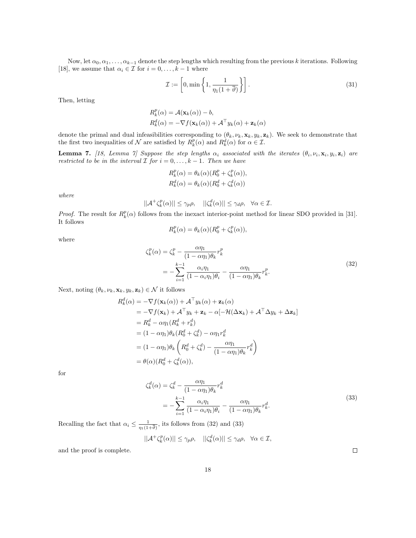Now, let  $\alpha_0, \alpha_1, \ldots, \alpha_{k-1}$  denote the step lengths which resulting from the previous k iterations. Following [18], we assume that  $\alpha_i \in \mathcal{I}$  for  $i = 0, \ldots, k - 1$  where

$$
\mathcal{I} := \left[0, \min\left\{1, \frac{1}{\eta_1(1+\bar{\vartheta})}\right\}\right].\tag{31}
$$

Then, letting

$$
R_k^p(\alpha) = \mathcal{A}(\mathbf{x}_k(\alpha)) - b,
$$
  
\n
$$
R_k^d(\alpha) = -\nabla f(\mathbf{x}_k(\alpha)) + \mathcal{A}^\top y_k(\alpha) + \mathbf{z}_k(\alpha)
$$

denote the primal and dual infeasibilities corresponding to  $(\theta_k, \nu_k, \mathbf{x}_k, y_k, \mathbf{z}_k)$ . We seek to demonstrate that the first two inequalities of  $\mathcal N$  are satisfied by  $R_k^p(\alpha)$  and  $R_k^d(\alpha)$  for  $\alpha \in \mathcal I$ .

**Lemma 7.** [18, Lemma 7] Suppose the step lengths  $\alpha_i$  associated with the iterates  $(\theta_i, \nu_i, \mathbf{x}_i, y_i, \mathbf{z}_i)$  are restricted to be in the interval  $\overline{I}$  for  $i = 0, \ldots, k - 1$ . Then we have

$$
R_k^p(\alpha) = \theta_k(\alpha)(R_0^p + \zeta_k^p(\alpha)),
$$
  
\n
$$
R_k^d(\alpha) = \theta_k(\alpha)(R_0^d + \zeta_k^d(\alpha))
$$

where

$$
||A^+\zeta_k^p(\alpha)|| \le \gamma_p \rho, \quad ||\zeta_k^d(\alpha)|| \le \gamma_d \rho, \quad \forall \alpha \in \mathcal{I}.
$$

*Proof.* The result for  $R_k^p(\alpha)$  follows from the inexact interior-point method for linear SDO provided in [31]. It follows

$$
R_k^p(\alpha) = \theta_k(\alpha) (R_0^p + \zeta_k^p(\alpha)),
$$

where

$$
\zeta_k^p(\alpha) = \zeta_k^p - \frac{\alpha \eta_1}{(1 - \alpha \eta_1)\theta_k} r_k^p
$$
  
= 
$$
-\sum_{i=1}^{k-1} \frac{\alpha_i \eta_1}{(1 - \alpha_i \eta_1)\theta_i} - \frac{\alpha \eta_1}{(1 - \alpha \eta_1)\theta_k} r_k^p.
$$
 (32)

Next, noting  $(\theta_k, \nu_k, \mathbf{x}_k, y_k, \mathbf{z}_k) \in \mathcal{N}$  it follows

$$
R_k^d(\alpha) = -\nabla f(\mathbf{x}_k(\alpha)) + A^{\top} y_k(\alpha) + \mathbf{z}_k(\alpha)
$$
  
\n
$$
= -\nabla f(\mathbf{x}_k) + A^{\top} y_k + \mathbf{z}_k - \alpha[-\mathcal{H}(\Delta \mathbf{x}_k) + A^{\top} \Delta y_k + \Delta \mathbf{z}_k]
$$
  
\n
$$
= R_k^d - \alpha \eta_1 (R_k^d + r_k^d)
$$
  
\n
$$
= (1 - \alpha \eta_1) \theta_k (R_0^d + \zeta_k^d) - \alpha \eta_1 r_k^d
$$
  
\n
$$
= (1 - \alpha \eta_1) \theta_k \left( R_0^d + \zeta_k^d \right) - \frac{\alpha \eta_1}{(1 - \alpha \eta_1) \theta_k} r_k^d
$$
  
\n
$$
= \theta(\alpha) (R_0^d + \zeta_k^d(\alpha)),
$$

for

$$
\zeta_k^d(\alpha) = \zeta_k^d - \frac{\alpha \eta_1}{(1 - \alpha \eta_1)\theta_k} r_k^d
$$
\n
$$
= -\sum_{i=1}^{k-1} \frac{\alpha_i \eta_1}{(1 - \alpha_i \eta_1)\theta_i} - \frac{\alpha \eta_1}{(1 - \alpha \eta_1)\theta_k} r_k^d.
$$
\n(33)

Recalling the fact that  $\alpha_i \leq \frac{1}{\eta_1(1)}$  $\frac{1}{\eta_1(1+\bar{\vartheta})}$ , its follows from (32) and (33)

$$
||A^+\zeta_k^p(\alpha)|| \le \gamma_p \rho, \quad ||\zeta_k^d(\alpha)|| \le \gamma_d \rho, \quad \forall \alpha \in \mathcal{I},
$$

18

and the proof is complete.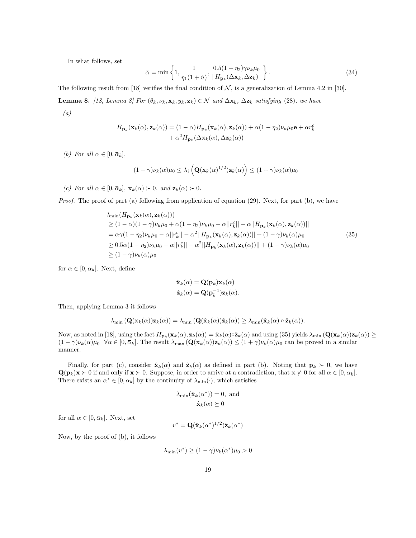In what follows, set

$$
\bar{\alpha} = \min\left\{1, \frac{1}{\eta_1(1+\bar{\vartheta})}, \frac{0.5(1-\eta_2)\gamma\nu_k\mu_0}{||H_{\mathbf{p}_k}(\Delta\mathbf{x}_k, \Delta\mathbf{z}_k)||}\right\}.
$$
\n(34)

The following result from [18] verifies the final condition of  $N$ , is a generalization of Lemma 4.2 in [30]. **Lemma 8.** [18, Lemma 8] For  $(\theta_k, \nu_k, \mathbf{x}_k, y_k, \mathbf{z}_k) \in \mathcal{N}$  and  $\Delta \mathbf{x}_k$ ,  $\Delta \mathbf{z}_k$  satisfying (28), we have (a)

$$
H_{\mathbf{p}_k}(\mathbf{x}_k(\alpha), \mathbf{z}_k(\alpha)) = (1 - \alpha) H_{\mathbf{p}_k}(\mathbf{x}_k(\alpha), \mathbf{z}_k(\alpha)) + \alpha(1 - \eta_2) \nu_k \mu_0 \mathbf{e} + \alpha r_k^c + \alpha^2 H_{\mathbf{p}_k}(\Delta \mathbf{x}_k(\alpha), \Delta \mathbf{z}_k(\alpha))
$$

(b) For all  $\alpha \in [0, \bar{\alpha}_k]$ ,

$$
(1 - \gamma)\nu_k(\alpha)\mu_0 \leq \lambda_i \left( \mathbf{Q}(\mathbf{x}_k(\alpha)^{1/2})\mathbf{z}_k(\alpha) \right) \leq (1 + \gamma)\nu_k(\alpha)\mu_0
$$

(c) For all  $\alpha \in [0, \bar{\alpha}_k]$ ,  $\mathbf{x}_k(\alpha) > 0$ , and  $\mathbf{z}_k(\alpha) > 0$ .

Proof. The proof of part (a) following from application of equation (29). Next, for part (b), we have

$$
\lambda_{\min}(H_{\mathbf{p}_k}(\mathbf{x}_k(\alpha), \mathbf{z}_k(\alpha)))
$$
\n
$$
\geq (1 - \alpha)(1 - \gamma)\nu_k\mu_0 + \alpha(1 - \eta_2)\nu_k\mu_0 - \alpha||r_k^c|| - \alpha||H_{\mathbf{p}_k}(\mathbf{x}_k(\alpha), \mathbf{z}_k(\alpha))||
$$
\n
$$
= \alpha\gamma(1 - \eta_2)\nu_k\mu_0 - \alpha||r_k^c|| - \alpha^2||H_{\mathbf{p}_k}(\mathbf{x}_k(\alpha), \mathbf{z}_k(\alpha))|| + (1 - \gamma)\nu_k(\alpha)\mu_0
$$
\n
$$
\geq 0.5\alpha(1 - \eta_2)\nu_k\mu_0 - \alpha||r_k^c|| - \alpha^2||H_{\mathbf{p}_k}(\mathbf{x}_k(\alpha), \mathbf{z}_k(\alpha))|| + (1 - \gamma)\nu_k(\alpha)\mu_0
$$
\n
$$
\geq (1 - \gamma)\nu_k(\alpha)\mu_0
$$
\n(35)

for  $\alpha \in [0, \bar{\alpha}_k]$ . Next, define

$$
\hat{\mathbf{x}}_k(\alpha) = \mathbf{Q}(\mathbf{p}_k)\mathbf{x}_k(\alpha)
$$

$$
\hat{\mathbf{z}}_k(\alpha) = \mathbf{Q}(\mathbf{p}_k^{-1})\mathbf{z}_k(\alpha).
$$

Then, applying Lemma 3 it follows

$$
\lambda_{\min}(\mathbf{Q}(\mathbf{x}_k(\alpha))\mathbf{z}_k(\alpha)) = \lambda_{\min}(\mathbf{Q}(\hat{\mathbf{x}}_k(\alpha))\hat{\mathbf{z}}_k(\alpha)) \geq \lambda_{\min}(\hat{\mathbf{x}}_k(\alpha) \circ \hat{\mathbf{z}}_k(\alpha)).
$$

Now, as noted in [18], using the fact  $H_{\mathbf{p}_k}(\mathbf{x}_k(\alpha), \mathbf{z}_k(\alpha)) = \hat{\mathbf{x}}_k(\alpha) \circ \hat{\mathbf{z}}_k(\alpha)$  and using (35) yields  $\lambda_{\min}(\mathbf{Q}(\mathbf{x}_k(\alpha))\mathbf{z}_k(\alpha)) \ge$  $(1 - \gamma)\nu_k(\alpha)\mu_0 \quad \forall \alpha \in [0, \bar{\alpha}_k]$ . The result  $\lambda_{\max}(\mathbf{Q}(\mathbf{x}_k(\alpha))\mathbf{z}_k(\alpha)) \leq (1 + \gamma)\nu_k(\alpha)\mu_0$  can be proved in a similar manner.

Finally, for part (c), consider  $\hat{\mathbf{x}}_k(\alpha)$  and  $\hat{\mathbf{z}}_k(\alpha)$  as defined in part (b). Noting that  $\mathbf{p}_k \succ 0$ , we have  $\mathbf{Q}(\mathbf{p}_k)\mathbf{x} \succ 0$  if and only if  $\mathbf{x} \succ 0$ . Suppose, in order to arrive at a contradiction, that  $\mathbf{x} \not\sim 0$  for all  $\alpha \in [0, \bar{\alpha}_k]$ . There exists an  $\alpha^* \in [0, \bar{\alpha}_k]$  by the continuity of  $\lambda_{\min}(\cdot)$ , which satisfies

$$
\lambda_{\min}(\hat{\mathbf{x}}_k(\alpha^*)) = 0, \text{ and}
$$

$$
\hat{\mathbf{x}}_k(\alpha) \succeq 0
$$

for all  $\alpha \in [0, \bar{\alpha}_k]$ . Next, set

$$
v^* = \mathbf{Q}(\hat{\mathbf{x}}_k(\alpha^*)^{1/2})\hat{\mathbf{z}}_k(\alpha^*)
$$

Now, by the proof of (b), it follows

$$
\lambda_{\min}(v^*) \ge (1 - \gamma)\nu_k(\alpha^*)\mu_0 > 0
$$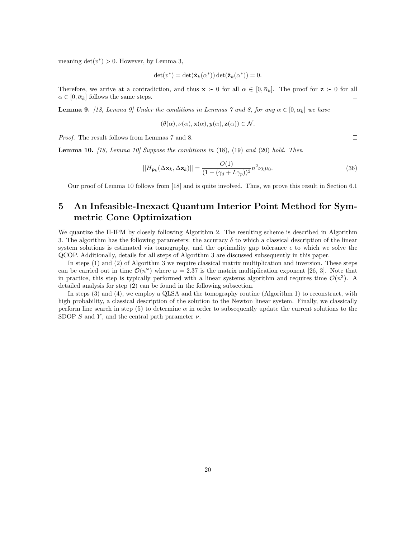meaning  $\det(v^*) > 0$ . However, by Lemma 3,

$$
\det(v^*) = \det(\hat{\mathbf{x}}_k(\alpha^*)) \det(\hat{\mathbf{z}}_k(\alpha^*)) = 0.
$$

Therefore, we arrive at a contradiction, and thus  $\mathbf{x} \succ 0$  for all  $\alpha \in [0, \bar{\alpha}_k]$ . The proof for  $\mathbf{z} \succ 0$  for all  $\alpha \in [0, \bar{\alpha}_k]$ .  $\alpha \in [0, \bar{\alpha}_k]$  follows the same steps.

**Lemma 9.** [18, Lemma 9] Under the conditions in Lemmas 7 and 8, for any  $\alpha \in [0, \bar{\alpha}_k]$  we have

$$
(\theta(\alpha), \nu(\alpha), \mathbf{x}(\alpha), y(\alpha), \mathbf{z}(\alpha)) \in \mathcal{N}.
$$

Proof. The result follows from Lemmas 7 and 8.

**Lemma 10.** [18, Lemma 10] Suppose the conditions in  $(18)$ ,  $(19)$  and  $(20)$  hold. Then

$$
||H_{\mathbf{p}_k}(\Delta \mathbf{x}_k, \Delta \mathbf{z}_k)|| = \frac{O(1)}{(1 - (\gamma_d + L\gamma_p))^2} n^2 \nu_k \mu_0.
$$
\n(36)

Our proof of Lemma 10 follows from [18] and is quite involved. Thus, we prove this result in Section 6.1

# 5 An Infeasible-Inexact Quantum Interior Point Method for Symmetric Cone Optimization

We quantize the II-IPM by closely following Algorithm 2. The resulting scheme is described in Algorithm 3. The algorithm has the following parameters: the accuracy  $\delta$  to which a classical description of the linear system solutions is estimated via tomography, and the optimality gap tolerance  $\epsilon$  to which we solve the QCOP. Additionally, details for all steps of Algorithm 3 are discussed subsequently in this paper.

In steps (1) and (2) of Algorithm 3 we require classical matrix multiplication and inversion. These steps can be carried out in time  $\mathcal{O}(n^{\omega})$  where  $\omega = 2.37$  is the matrix multiplication exponent [26, 3]. Note that in practice, this step is typically performed with a linear systems algorithm and requires time  $\mathcal{O}(n^3)$ . A detailed analysis for step (2) can be found in the following subsection.

In steps (3) and (4), we employ a QLSA and the tomography routine (Algorithm 1) to reconstruct, with high probability, a classical description of the solution to the Newton linear system. Finally, we classically perform line search in step (5) to determine  $\alpha$  in order to subsequently update the current solutions to the SDOP S and Y, and the central path parameter  $\nu$ .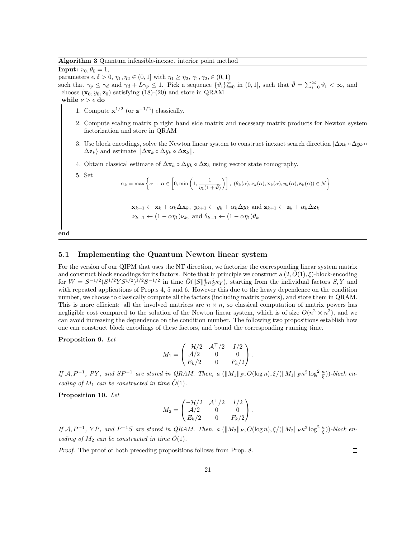Algorithm 3 Quantum infeasible-inexact interior point method

**Input:**  $\nu_0, \theta_0 = 1$ , parameters  $\epsilon, \delta > 0, \eta_1, \eta_2 \in (0, 1]$  with  $\eta_1 \geq \eta_2, \gamma_1, \gamma_2, \epsilon (0, 1)$ such that  $\gamma_p \leq \gamma_d$  and  $\gamma_d + L\gamma_p \leq 1$ . Pick a sequence  $\{\vartheta_i\}_{i=0}^{\infty}$  in  $(0, 1]$ , such that  $\bar{\vartheta} = \sum_{i=0}^{\infty} \vartheta_i < \infty$ , and choose  $(\mathbf{x}_0, y_0, \mathbf{z}_0)$  satisfying (18)-(20) and store in QRAM while  $\nu > \epsilon$  do

- 1. Compute  $\mathbf{x}^{1/2}$  (or  $\mathbf{z}^{-1/2}$ ) classically.
- 2. Compute scaling matrix p right hand side matrix and necessary matrix products for Newton system factorization and store in QRAM
- 3. Use block encodings, solve the Newton linear system to construct inexact search direction  $|\Delta x_k \circ \Delta y_k \circ \Delta y_k|$  $\Delta \mathbf{z}_k$  and estimate  $||\Delta \mathbf{x}_k \circ \Delta y_k \circ \Delta \mathbf{z}_k||$ .
- 4. Obtain classical estimate of  $\Delta \mathbf{x}_k \circ \Delta y_k \circ \Delta \mathbf{z}_k$  using vector state tomography.

5. Set

$$
\alpha_k = \max \left\{ \alpha \; : \; \alpha \in \left[ 0, \min \left( 1, \frac{1}{\eta_1(1+\bar{\vartheta})} \right) \right], \; (\theta_k(\alpha), \nu_k(\alpha), \mathbf{x}_k(\alpha), y_k(\alpha), \mathbf{z}_k(\alpha)) \in \mathcal{N} \right\}
$$
  

$$
\mathbf{x}_{k+1} \leftarrow \mathbf{x}_k + \alpha_k \Delta \mathbf{x}_k, \; y_{k+1} \leftarrow y_k + \alpha_k \Delta y_k \text{ and } \mathbf{z}_{k+1} \leftarrow \mathbf{z}_k + \alpha_k \Delta \mathbf{z}_k
$$

$$
\nu_{k+1} \leftarrow (1 - \alpha \eta_1) \nu_k, \text{ and } \theta_{k+1} \leftarrow (1 - \alpha \eta_1) \theta_k
$$
  

$$
\nu_{k+1} \leftarrow (1 - \alpha \eta_1) \nu_k, \text{ and } \theta_{k+1} \leftarrow (1 - \alpha \eta_1) \theta_k
$$

end

### 5.1 Implementing the Quantum Newton linear system

For the version of our QIPM that uses the NT direction, we factorize the corresponding linear system matrix and construct block encodings for its factors. Note that in principle we construct a  $(2,\tilde{O}(1),\xi)$ -block-encoding for  $W = S^{-1/2} (S^{1/2} Y S^{1/2})^{1/2} S^{-1/2}$  in time  $\tilde{O}(\|S\|_F^4 \kappa_S^5 \kappa_Y)$ , starting from the individual factors  $S, Y$  and with repeated applications of Prop.s 4, 5 and 6. However this due to the heavy dependence on the condition number, we choose to classically compute all the factors (including matrix powers), and store them in QRAM. This is more efficient: all the involved matrices are  $n \times n$ , so classical computation of matrix powers has negligible cost compared to the solution of the Newton linear system, which is of size  $O(n^2 \times n^2)$ , and we can avoid increasing the dependence on the condition number. The following two propositions establish how one can construct block encodings of these factors, and bound the corresponding running time.

Proposition 9. Let

$$
M_1 = \begin{pmatrix} -\mathcal{H}/2 & \mathcal{A}^\top/2 & I/2 \\ \mathcal{A}/2 & 0 & 0 \\ E_k/2 & 0 & F_k/2 \end{pmatrix}.
$$

If  $\mathcal{A}, P^{-1}, PY$ , and  $SP^{-1}$  are stored in QRAM. Then, a  $(\|M_1\|_F, O(\log n), \xi/(\|M_1\|_F \kappa^2 \log^2 \frac{\kappa}{\xi}))$ -block encoding of  $M_1$  can be constructed in time  $\tilde{O}(1)$ .

Proposition 10. Let

$$
M_2 = \begin{pmatrix} -\mathcal{H}/2 & \mathcal{A}^\top/2 & I/2 \\ \mathcal{A}/2 & 0 & 0 \\ E_k/2 & 0 & F_k/2 \end{pmatrix}.
$$

If  $\mathcal{A}, P^{-1}$ ,  $YP$ , and  $P^{-1}S$  are stored in QRAM. Then, a  $(\|M_2\|_F, O(\log n), \xi/(\|M_2\|_F \kappa^2 \log^2 \frac{\kappa}{\xi}))$ -block encoding of  $M_2$  can be constructed in time  $\tilde{O}(1)$ .

Proof. The proof of both preceding propositions follows from Prop. 8.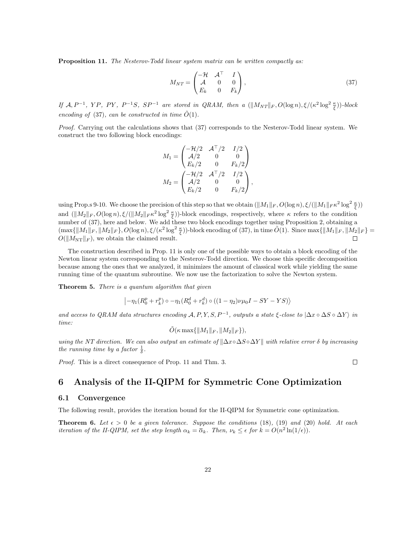Proposition 11. The Nesterov-Todd linear system matrix can be written compactly as:

$$
M_{NT} = \begin{pmatrix} -\mathcal{H} & \mathcal{A}^{\top} & I \\ \mathcal{A} & 0 & 0 \\ E_k & 0 & F_k \end{pmatrix},
$$
\n(37)

If  $\mathcal{A}, P^{-1}$ , YP, PY,  $P^{-1}S$ ,  $SP^{-1}$  are stored in QRAM, then a  $(\|M_{NT}\|_F, O(\log n), \xi/(\kappa^2 \log^2 \frac{\kappa}{\xi}))$ -block encoding of (37), can be constructed in time  $\tilde{O}(1)$ .

Proof. Carrying out the calculations shows that (37) corresponds to the Nesterov-Todd linear system. We construct the two following block encodings:

$$
\begin{aligned} M_1 &= \begin{pmatrix} -\mathcal{H}/2 & \mathcal{A}^\top/2 & I/2 \\ \mathcal{A}/2 & 0 & 0 \\ E_k/2 & 0 & F_k/2 \end{pmatrix} \\ M_2 &= \begin{pmatrix} -\mathcal{H}/2 & \mathcal{A}^\top/2 & I/2 \\ \mathcal{A}/2 & 0 & 0 \\ E_k/2 & 0 & F_k/2 \end{pmatrix}, \end{aligned}
$$

using Prop.s 9-10. We choose the precision of this step so that we obtain  $(\|M_1\|_F, O(\log n), \xi/(\|M_1\|_F \kappa^2 \log^2 \frac{\kappa}{\xi}))$ and  $(\|M_2\|_F, O(\log n), \xi/(\|M_2\|_F \kappa^2 \log^2 \frac{\kappa}{\xi}))$ -block encodings, respectively, where  $\kappa$  refers to the condition number of (37), here and below. We add these two block encodings together using Proposition 2, obtaining a  $(\max\{\|M_1\|_F, \|M_2\|_F\}, O(\log n), \xi/(\kappa^2 \log^2 \frac{\kappa}{\xi}))$ -block encoding of (37), in time  $\tilde{O}(1)$ . Since  $\max\{\|M_1\|_F, \|M_2\|_F\} =$  $O(||M_{\rm NT}||_F)$ , we obtain the claimed result.

The construction described in Prop. 11 is only one of the possible ways to obtain a block encoding of the Newton linear system corresponding to the Nesterov-Todd direction. We choose this specific decomposition because among the ones that we analyzed, it minimizes the amount of classical work while yielding the same running time of the quantum subroutine. We now use the factorization to solve the Newton system.

Theorem 5. There is a quantum algorithm that given

$$
(-\eta_1(R_0^p + r_k^p) \circ -\eta_1(R_0^d + r_k^d) \circ ((1 - \eta_2)\nu\mu_0 I - SY - YS))
$$

and access to QRAM data structures encoding  $A, P, Y, S, P^{-1}$ , outputs a state  $\xi$ -close to  $|\Delta x \circ \Delta S \circ \Delta Y \rangle$  in time:

$$
\tilde{O}(\kappa \max\{\|M_1\|_F, \|M_2\|_F\}),
$$

using the NT direction. We can also output an estimate of  $\|\Delta x \circ \Delta S \circ \Delta Y\|$  with relative error  $\delta$  by increasing the running time by a factor  $\frac{1}{\delta}$ .

Proof. This is a direct consequence of Prop. 11 and Thm. 3.

# 6 Analysis of the II-QIPM for Symmetric Cone Optimization

#### 6.1 Convergence

The following result, provides the iteration bound for the II-QIPM for Symmetric cone optimization.

**Theorem 6.** Let  $\epsilon > 0$  be a given tolerance. Suppose the conditions (18), (19) and (20) hold. At each iteration of the II-QIPM, set the step length  $\alpha_k = \overline{\alpha}_k$ . Then,  $\nu_k \leq \epsilon$  for  $k = O(n^2 \ln(1/\epsilon))$ .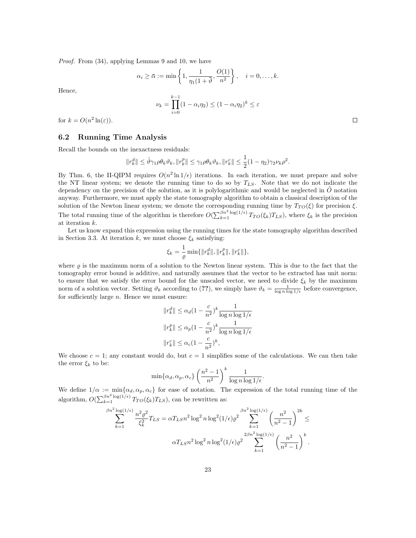Proof. From (34), applying Lemmas 9 and 10, we have

$$
\alpha_i \geq \overline{\alpha} := \min\left\{1, \frac{1}{\eta_1(1+\overline{\vartheta}}, \frac{O(1)}{n^2}\right\}, \quad i = 0, \dots, k.
$$

Hence,

$$
\nu_k = \prod_{i=0}^{k-1} (1 - \alpha_i \eta_2) \le (1 - \alpha_i \eta_2)^k \le \varepsilon
$$

for  $k = O(n^2 \ln(\varepsilon)).$ 

#### 6.2 Running Time Analysis

Recall the bounds on the inexactness residuals:

$$
||r_k^d|| \leq \hat{\vartheta} \gamma_1 \rho \theta_k \vartheta_k, ||r_k^p|| \leq \gamma_1 \rho \theta_k \vartheta_k, ||r_k^c|| \leq \frac{1}{2} (1 - \eta_2) \gamma_2 \nu_k \rho^2.
$$

By Thm. 6, the II-QIPM requires  $O(n^2 \ln 1/\epsilon)$  iterations. In each iteration, we must prepare and solve the NT linear system; we denote the running time to do so by  $T_{LS}$ . Note that we do not indicate the dependency on the precision of the solution, as it is polylogarithmic and would be neglected in  $\hat{O}$  notation anyway. Furthermore, we must apply the state tomography algorithm to obtain a classical description of the solution of the Newton linear system; we denote the corresponding running time by  $T_{TO}(\xi)$  for precision  $\xi$ . The total running time of the algorithm is therefore  $O(\sum_{k=1}^{\beta n^2 \log(1/\epsilon)} T_{TO}(\xi_k) T_{LS})$ , where  $\xi_k$  is the precision at iteration k.

Let us know expand this expression using the running times for the state tomography algorithm described in Section 3.3. At iteration k, we must choose  $\xi_k$  satisfying:

$$
\xi_k = \frac{1}{\varrho}\min\{\|r_k^d\|, \|r_k^p\|, \|r_k^c\|\},
$$

where  $\rho$  is the maximum norm of a solution to the Newton linear system. This is due to the fact that the tomography error bound is additive, and naturally assumes that the vector to be extracted has unit norm: to ensure that we satisfy the error bound for the unscaled vector, we need to divide  $\xi_k$  by the maximum norm of a solution vector. Setting  $\vartheta_k$  according to (??), we simply have  $\vartheta_k = \frac{1}{\log n \log 1/\epsilon}$  before convergence, for sufficiently large  $n$ . Hence we must ensure:

$$
||r_k^d|| \leq \alpha_d (1 - \frac{c}{n^2})^k \frac{1}{\log n \log 1/\epsilon}
$$
  

$$
||r_k^p|| \leq \alpha_p (1 - \frac{c}{n^2})^k \frac{1}{\log n \log 1/\epsilon}
$$
  

$$
||r_k^c|| \leq \alpha_c (1 - \frac{c}{n^2})^k,
$$

We choose  $c = 1$ ; any constant would do, but  $c = 1$  simplifies some of the calculations. We can then take the error  $\xi_k$  to be:

$$
\min\{\alpha_d, \alpha_p, \alpha_c\} \left(\frac{n^2-1}{n^2}\right)^k \frac{1}{\log n \log 1/\epsilon}.
$$

We define  $1/\alpha := \min{\{\alpha_d, \alpha_p, \alpha_c\}}$  for ease of notation. The expression of the total running time of the algorithm,  $O(\sum_{k=1}^{\beta n^2 \log(1/\epsilon)} T_{TO}(\xi_k) T_{LS})$ , can be rewritten as:

$$
\sum_{k=1}^{\beta n^2 \log(1/\epsilon)} \frac{n^2 \varrho^2}{\xi_k^2} T_{LS} = \alpha T_{LS} n^2 \log^2 n \log^2(1/\epsilon) \varrho^2 \sum_{k=1}^{\beta n^2 \log(1/\epsilon)} \left(\frac{n^2}{n^2 - 1}\right)^{2k} \le
$$

$$
\alpha T_{LS} n^2 \log^2 n \log^2(1/\epsilon) \varrho^2 \sum_{k=1}^{2\beta n^2 \log(1/\epsilon)} \left(\frac{n^2}{n^2 - 1}\right)^k.
$$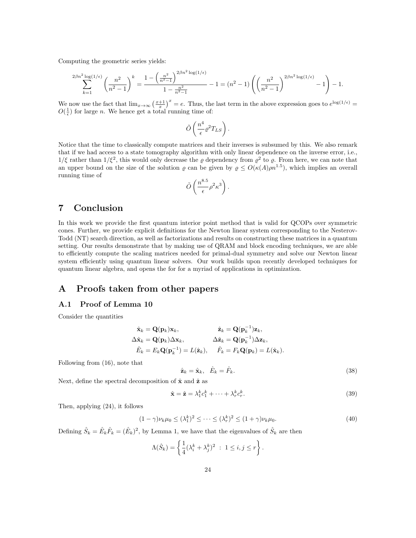Computing the geometric series yields:

$$
\sum_{k=1}^{2\beta n^2\log(1/\epsilon)}\left(\frac{n^2}{n^2-1}\right)^k=\frac{1-\left(\frac{n^2}{n^2-1}\right)^{2\beta n^2\log(1/\epsilon)}}{1-\frac{n^2}{n^2-1}}-1=(n^2-1)\left(\left(\frac{n^2}{n^2-1}\right)^{2\beta n^2\log(1/\epsilon)}-1\right)-1.
$$

We now use the fact that  $\lim_{x\to\infty} \left(\frac{x+1}{x}\right)^x = e$ . Thus, the last term in the above expression goes to  $e^{\log(1/\epsilon)} =$  $O(\frac{1}{\epsilon})$  for large *n*. We hence get a total running time of:

$$
\tilde{O}\left(\frac{n^4}{\epsilon}\varrho^2 T_{LS}\right).
$$

Notice that the time to classically compute matrices and their inverses is subsumed by this. We also remark that if we had access to a state tomography algorithm with only linear dependence on the inverse error, i.e.,  $1/\xi$  rather than  $1/\xi^2$ , this would only decrease the  $\varrho$  dependency from  $\varrho^2$  to  $\varrho$ . From here, we can note that an upper bound on the size of the solution  $\varrho$  can be given by  $\varrho \le O(\kappa(A)\rho n^{1.5})$ , which implies an overall running time of

$$
\tilde{O}\left(\frac{n^{8.5}}{\epsilon}\rho^2\kappa^3\right).
$$

## 7 Conclusion

In this work we provide the first quantum interior point method that is valid for QCOPs over symmetric cones. Further, we provide explicit definitions for the Newton linear system corresponding to the Nesterov-Todd (NT) search direction, as well as factorizations and results on constructing these matrices in a quantum setting. Our results demonstrate that by making use of QRAM and block encoding techniques, we are able to efficiently compute the scaling matrices needed for primal-dual symmetry and solve our Newton linear system efficiently using quantum linear solvers. Our work builds upon recently developed techniques for quantum linear algebra, and opens the for for a myriad of applications in optimization.

# A Proofs taken from other papers

#### A.1 Proof of Lemma 10

Consider the quantities

$$
\hat{\mathbf{x}}_k = \mathbf{Q}(\mathbf{p}_k)\mathbf{x}_k, \qquad \hat{\mathbf{z}}_k = \mathbf{Q}(\mathbf{p}_k^{-1})\mathbf{z}_k, \n\Delta \hat{\mathbf{x}}_k = \mathbf{Q}(\mathbf{p}_k)\Delta \mathbf{x}_k, \qquad \Delta \hat{\mathbf{z}}_k = \mathbf{Q}(\mathbf{p}_k^{-1})\Delta \mathbf{z}_k, \n\hat{E}_k = E_k \mathbf{Q}(\mathbf{p}_k^{-1}) = L(\hat{\mathbf{z}}_k), \qquad \hat{F}_k = F_k \mathbf{Q}(\mathbf{p}_k) = L(\hat{\mathbf{x}}_k).
$$

Following from (16), note that

$$
\hat{\mathbf{z}}_k = \hat{\mathbf{x}}_k, \quad \hat{E}_k = \hat{F}_k. \tag{38}
$$

Next, define the spectral decomposition of  $\hat{\mathbf{x}}$  and  $\hat{\mathbf{z}}$  as

$$
\hat{\mathbf{x}} = \hat{\mathbf{z}} = \lambda_1^k c_1^k + \dots + \lambda_r^k c_r^k.
$$
\n(39)

Then, applying (24), it follows

$$
(1 - \gamma)\nu_k \mu_0 \le (\lambda_1^k)^2 \le \dots \le (\lambda_r^k)^2 \le (1 + \gamma)\nu_k \mu_0.
$$
\n
$$
(40)
$$

Defining  $\hat{S}_k = \hat{E}_k \hat{F}_k = (\hat{E}_k)^2$ , by Lemma 1, we have that the eigenvalues of  $\hat{S}_k$  are then

$$
\Lambda(\hat{S}_k) = \left\{ \frac{1}{4} (\lambda_i^k + \lambda_j^k)^2 \ : \ 1 \le i, j \le r \right\}.
$$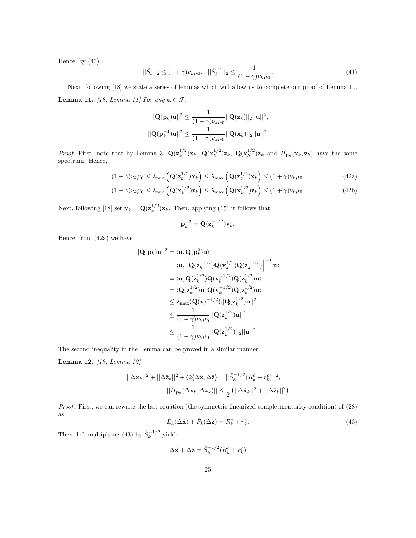Hence, by  $(40)$ ,

$$
||\hat{S}_k||_2 \le (1+\gamma)\nu_k\mu_0, \quad ||\hat{S}_k^{-1}||_2 \le \frac{1}{(1-\gamma)\nu_k\mu_0}.\tag{41}
$$

Next, following [18] we state a series of lemmas which will allow us to complete our proof of Lemma 10. **Lemma 11.** [18, Lemma 11] For any  $\mathbf{u} \in \mathcal{J}$ ,

$$
||\mathbf{Q}(\mathbf{p}_k)\mathbf{u}||^2 \le \frac{1}{(1-\gamma)\nu_k\mu_0} ||\mathbf{Q}(\mathbf{z}_k)||_2 ||\mathbf{u}||^2,
$$
  

$$
||\mathbf{Q}(\mathbf{p}_k^{-1})\mathbf{u}||^2 \le \frac{1}{(1-\gamma)\nu_k\mu_0} ||\mathbf{Q}(\mathbf{x}_k)||_2 ||\mathbf{u}||^2
$$

*Proof.* First, note that by Lemma 3,  $\mathbf{Q}(\mathbf{z}_k^{1/2})\mathbf{x}_k$ ,  $\mathbf{Q}(\mathbf{x}_k^{1/2})\mathbf{z}_k$ ,  $\mathbf{Q}(\hat{\mathbf{x}}_k^{1/2})\hat{\mathbf{z}}_k$  and  $H_{\mathbf{p}_k}(\mathbf{x}_k, \mathbf{z}_k)$  have the same spectrum. Hence,

$$
(1 - \gamma)\nu_k \mu_0 \le \lambda_{\min} \left( \mathbf{Q}(\mathbf{z}_k^{1/2}) \mathbf{x}_k \right) \le \lambda_{\max} \left( \mathbf{Q}(\mathbf{z}_k^{1/2}) \mathbf{x}_k \right) \le (1 + \gamma)\nu_k \mu_0 \tag{42a}
$$

$$
(1 - \gamma)\nu_k \mu_0 \le \lambda_{\min} \left( \mathbf{Q}(\mathbf{x}_k^{1/2}) \mathbf{z}_k \right) \le \lambda_{\max} \left( \mathbf{Q}(\mathbf{x}_k^{1/2}) \mathbf{z}_k \right) \le (1 + \gamma)\nu_k \mu_0.
$$
 (42b)

Next, following [18] set  $\mathbf{v}_k = \mathbf{Q}(\mathbf{z}_k^{1/2})\mathbf{x}_k$ . Then, applying (15) it follows that

$$
\mathbf{p}_k^{-2} = \mathbf{Q}(\mathbf{z}_k^{-1/2})\mathbf{v}_k.
$$

Hence, from (42a) we have

$$
\begin{aligned} ||\mathbf{Q}(\mathbf{p}_k)\mathbf{u}||^2 &= \langle \mathbf{u}, \mathbf{Q}(\mathbf{p}_k^2)\mathbf{u}\rangle \\ &= \langle \mathbf{u}, \left[\mathbf{Q}(\mathbf{z}_k^{-1/2})\mathbf{Q}(\mathbf{v}_k^{1/2})\mathbf{Q}(\mathbf{z}_k^{-1/2})\right]^{-1}\mathbf{u}\rangle \\ &= \langle \mathbf{u}, \mathbf{Q}(\mathbf{z}_k^{1/2})\mathbf{Q}(\mathbf{v}_k^{-1/2})\mathbf{Q}(\mathbf{z}_k^{1/2})\mathbf{u}\rangle \\ &= \langle \mathbf{Q}(\mathbf{z}_k^{1/2})\mathbf{u}, \mathbf{Q}(\mathbf{v}_k^{-1/2})\mathbf{Q}(\mathbf{z}_k^{1/2})\mathbf{u}\rangle \\ &\leq \lambda_{\max}(\mathbf{Q}(\mathbf{v})^{-1/2})||\mathbf{Q}(\mathbf{z}_k^{1/2})\mathbf{u}||^2 \\ &\leq \frac{1}{(1-\gamma)\nu_k\mu_0}||\mathbf{Q}(\mathbf{z}_k^{1/2})\mathbf{u}||^2 \\ &\leq \frac{1}{(1-\gamma)\nu_k\mu_0}||\mathbf{Q}(\mathbf{z}_k^{1/2})||_2||\mathbf{u}||^2 \end{aligned}
$$

The second inequality in the Lemma can be proved in a similar manner.

Lemma 12. [18, Lemma 12]

$$
||\Delta \hat{\mathbf{x}}_k||^2 + ||\Delta \hat{\mathbf{z}}_k||^2 + (2\langle \Delta \hat{\mathbf{x}}, \Delta \hat{\mathbf{z}} \rangle = ||\hat{S}_k^{-1/2} (R_k^c + r_k^c)||^2,
$$
  

$$
||H_{\mathbf{p}_k} (\Delta \mathbf{x}_k, \Delta \mathbf{z}_k)|| \le \frac{1}{2} (||\Delta \hat{\mathbf{x}}_k||^2 + ||\Delta \hat{\mathbf{z}}_k||^2)
$$

Proof. First, we can rewrite the last equation (the symmetric linearized completmentarity condition) of (28) as

$$
\hat{E}_k(\Delta \hat{\mathbf{x}}) + \hat{F}_k(\Delta \hat{\mathbf{z}}) = R_k^c + r_k^c.
$$
\n(43)

Then, left-multiplying (43) by  $\hat{S}_k^{-1/2}$  yields

$$
\Delta \hat{\mathbf{x}} + \Delta \hat{\mathbf{z}} = \hat{S}_k^{-1/2} (R_k^c + r_k^c)
$$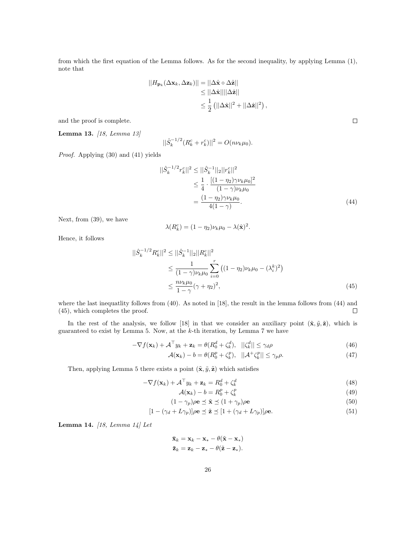from which the first equation of the Lemma follows. As for the second inequality, by applying Lemma (1), note that

$$
||H_{\mathbf{p}_k}(\Delta \mathbf{x}_k, \Delta \mathbf{z}_k)|| = ||\Delta \hat{\mathbf{x}} \circ \Delta \hat{\mathbf{z}}||
$$
  
\n
$$
\leq ||\Delta \hat{\mathbf{x}}|| ||\Delta \hat{\mathbf{z}}||
$$
  
\n
$$
\leq \frac{1}{2} (||\Delta \hat{\mathbf{x}}||^2 + ||\Delta \hat{\mathbf{z}}||^2),
$$

and the proof is complete.

Lemma 13. [18, Lemma 13]

$$
||\hat{S}_k^{-1/2}(R_k^c + r_k^c)||^2 = O(n\nu_k\mu_0).
$$

Proof. Applying (30) and (41) yields

$$
||\hat{S}_k^{-1/2}r_k^c||^2 \le ||\hat{S}_k^{-1}||_2||r_k^c||^2
$$
  
\n
$$
\le \frac{1}{4} \cdot \frac{[(1-\eta_2)\gamma \nu_k \mu_0]^2}{(1-\gamma)\nu_k \mu_0}
$$
  
\n
$$
= \frac{(1-\eta_2)\gamma \nu_k \mu_0}{4(1-\gamma)}.
$$
\n(44)

Next, from (39), we have

$$
\lambda(R_k^c) = (1 - \eta_2)\nu_k \mu_0 - \lambda(\hat{\mathbf{x}})^2.
$$

Hence, it follows

$$
||\hat{S}_k^{-1/2} R_k^c||^2 \le ||\hat{S}_k^{-1}||_2||R_k^c||^2
$$
  
\n
$$
\le \frac{1}{(1-\gamma)\nu_k\mu_0} \sum_{i=0}^r ((1-\eta_2)\nu_k\mu_0 - (\lambda_i^k)^2)
$$
  
\n
$$
\le \frac{n\nu_k\mu_0}{1-\gamma} (\gamma + \eta_2)^2,
$$
\n(45)

where the last inequatlity follows from (40). As noted in [18], the result in the lemma follows from (44) and (45), which completes the proof.  $\Box$ 

In the rest of the analysis, we follow [18] in that we consider an auxiliary point  $(\tilde{\mathbf{x}}, \tilde{y}, \tilde{\mathbf{z}})$ , which is guaranteed to exist by Lemma 5. Now, at the k-th iteration, by Lemma 7 we have

$$
-\nabla f(\mathbf{x}_k) + \mathcal{A}^\top y_k + \mathbf{z}_k = \theta (R_0^d + \zeta_k^d), \quad ||\zeta_k^d|| \le \gamma_d \rho \tag{46}
$$

$$
\mathcal{A}(\mathbf{x}_k) - b = \theta(R_0^p + \zeta_k^p), \quad ||\mathcal{A}^+\zeta_k^p|| \le \gamma_p \rho. \tag{47}
$$

Then, applying Lemma 5 there exists a point  $(\tilde{\mathbf{x}}, \tilde{y}, \tilde{\mathbf{z}})$  which satisfies

$$
-\nabla f(\mathbf{x}_k) + \mathcal{A}^\top y_k + \mathbf{z}_k = R_0^d + \zeta_k^d
$$
\n(48)

$$
\mathcal{A}(\mathbf{x}_k) - b = R_0^p + \zeta_k^p \tag{49}
$$

$$
(1 - \gamma_p)\rho \mathbf{e} \preceq \tilde{\mathbf{x}} \preceq (1 + \gamma_p)\rho \mathbf{e}
$$
\n(50)

$$
[1 - (\gamma_d + L\gamma_p)]\rho \mathbf{e} \preceq \tilde{\mathbf{z}} \preceq [1 + (\gamma_d + L\gamma_p)]\rho \mathbf{e}.\tag{51}
$$

Lemma 14. [18, Lemma 14] Let

$$
\overline{\mathbf{x}}_k = \mathbf{x}_k - \mathbf{x}_* - \theta(\tilde{\mathbf{x}} - \mathbf{x}_*)
$$

$$
\overline{\mathbf{z}}_k = \mathbf{z}_k - \mathbf{z}_* - \theta(\tilde{\mathbf{z}} - \mathbf{z}_*).
$$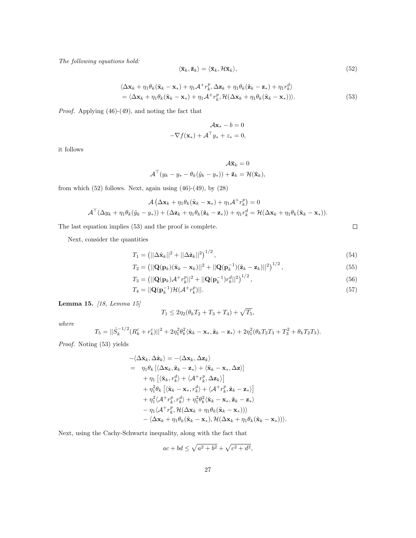The following equations hold:

$$
\langle \bar{\mathbf{x}}_k, \bar{\mathbf{z}}_k \rangle = \langle \bar{\mathbf{x}}_k, \mathcal{H}\bar{\mathbf{x}}_k \rangle, \tag{52}
$$

$$
\langle \Delta \mathbf{x}_k + \eta_1 \theta_k (\tilde{\mathbf{x}}_k - \mathbf{x}_*) + \eta_1 \mathcal{A}^+ r_k^p, \Delta \mathbf{z}_k + \eta_1 \theta_k (\tilde{\mathbf{z}}_k - \mathbf{z}_*) + \eta_1 r_k^d \rangle = \langle \Delta \mathbf{x}_k + \eta_1 \theta_k (\tilde{\mathbf{x}}_k - \mathbf{x}_*) + \eta_1 \mathcal{A}^+ r_k^p, \mathcal{H}(\Delta \mathbf{x}_k + \eta_1 \theta_k (\tilde{\mathbf{x}}_k - \mathbf{x}_*)) \rangle.
$$
 (53)

Proof. Applying (46)-(49), and noting the fact that

$$
\mathcal{A}\mathbf{x}_{*} - b = 0
$$
  

$$
-\nabla f(\mathbf{x}_{*}) + \mathcal{A}^{\top} y_{*} + z_{*} = 0,
$$

it follows

$$
\mathcal{A}\overline{\mathbf{x}}_k = 0
$$
  

$$
\mathcal{A}^\top (y_k - y_* - \theta_k(\tilde{y}_k - y_*)) + \overline{\mathbf{z}}_k = \mathcal{H}(\overline{\mathbf{x}}_k),
$$

from which  $(52)$  follows. Next, again using  $(46)-(49)$ , by  $(28)$ 

$$
\mathcal{A} \left( \Delta \mathbf{x}_k + \eta_1 \theta_k (\tilde{\mathbf{x}}_k - \mathbf{x}_*) + \eta_1 \mathcal{A}^+ r_k^p \right) = 0
$$
  

$$
\mathcal{A}^\top (\Delta y_k + \eta_1 \theta_k (\tilde{y}_k - y_*)) + (\Delta \mathbf{z}_k + \eta_1 \theta_k (\tilde{\mathbf{z}}_k - \mathbf{z}_*)) + \eta_1 r_k^d = \mathcal{H} (\Delta \mathbf{x}_k + \eta_1 \theta_k (\tilde{\mathbf{x}}_k - \mathbf{x}_*))
$$

The last equation implies (53) and the proof is complete.

Next, consider the quantities

$$
T_1 = (||\Delta \hat{\mathbf{x}}_k||^2 + ||\Delta \hat{\mathbf{z}}_k||^2)^{1/2}, \qquad (54)
$$

$$
T_2 = \left(||\mathbf{Q}(\mathbf{p}_k)(\tilde{\mathbf{x}}_k - \mathbf{x}_k)||^2 + ||\mathbf{Q}(\mathbf{p}_k^{-1})(\tilde{\mathbf{z}}_k - \mathbf{z}_k)||^2\right)^{1/2},\tag{55}
$$

$$
T_3 = (||\mathbf{Q}(\mathbf{p}_k)\mathcal{A}^+ r_k^p||^2 + ||\mathbf{Q}(\mathbf{p}_k^{-1})r_k^d||^2)^{1/2}, \qquad (56)
$$

$$
T_4 = ||\mathbf{Q}(\mathbf{p}_k^{-1})\mathcal{H}(\mathcal{A}^+ r_k^p)||. \tag{57}
$$

Lemma 15. [18, Lemma 15]

$$
T_1 \le 2\eta_2(\theta_k T_2 + T_3 + T_4) + \sqrt{T_5},
$$

where

$$
T_5 = ||\hat{S}_k^{-1/2}(R_k^c + r_k^c)||^2 + 2\eta_1^2\theta_k^2\langle\tilde{\mathbf{x}}_k - \mathbf{x}_*, \tilde{\mathbf{z}}_k - \mathbf{z}_*\rangle + 2\eta_1^2(\theta_kT_2T_3 + T_3^2 + \theta_kT_2T_3).
$$

Proof. Noting (53) yields

$$
\begin{split}\n&-\langle\Delta\hat{\mathbf{x}}_{k},\Delta\hat{\mathbf{z}}_{k}\rangle=-\langle\Delta\mathbf{x}_{k},\Delta\mathbf{z}_{k}\rangle \\
&= \eta_{1}\theta_{k}\left[\langle\Delta\mathbf{x}_{k},\tilde{\mathbf{z}}_{k}-\mathbf{z}_{*}\rangle+\langle\tilde{\mathbf{x}}_{k}-\mathbf{x}_{*},\Delta\mathbf{z}\rangle\right] \\
&+ \eta_{1}\left[\langle\tilde{\mathbf{x}}_{k},r_{k}^{d}\rangle+\langle\mathcal{A}^{+}r_{k}^{p},\Delta\mathbf{z}_{k}\rangle\right] \\
&+ \eta_{1}^{2}\theta_{k}\left[\langle\tilde{\mathbf{x}}_{k}-\mathbf{x}_{*},r_{k}^{d}\rangle+\langle\mathcal{A}^{+}r_{k}^{p},\tilde{\mathbf{z}}_{k}-\mathbf{z}_{*}\rangle\right] \\
&+ \eta_{1}^{2}\langle\mathcal{A}^{+}r_{k}^{p},r_{k}^{d}\rangle+\eta_{1}^{2}\theta_{k}^{2}\langle\tilde{\mathbf{x}}_{k}-\mathbf{x}_{*},\tilde{\mathbf{z}}_{k}-\mathbf{z}_{*}\rangle \\
&- \eta_{1}\langle\mathcal{A}^{+}r_{k}^{p},\mathcal{H}(\Delta\mathbf{x}_{k}+\eta_{1}\theta_{k}(\tilde{\mathbf{x}}_{k}-\mathbf{x}_{*})))\rangle \\
&-\langle\Delta\mathbf{x}_{k}+\eta_{1}\theta_{k}(\tilde{\mathbf{x}}_{k}-\mathbf{x}_{*}),\mathcal{H}(\Delta\mathbf{x}_{k}+\eta_{1}\theta_{k}(\tilde{\mathbf{x}}_{k}-\mathbf{x}_{*})))\rangle.\n\end{split}
$$

Next, using the Cachy-Schwartz inequality, along with the fact that

$$
ac + bd \le \sqrt{a^2 + b^2} + \sqrt{c^2 + d^2},
$$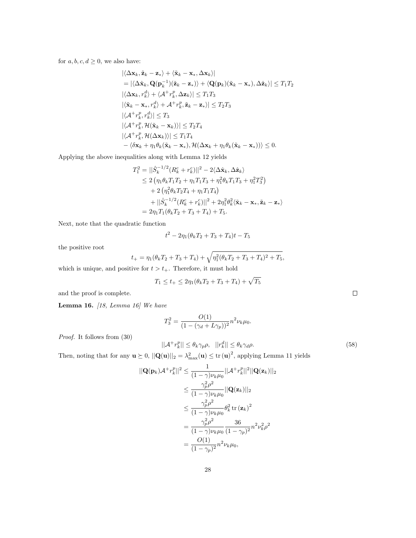for  $a, b, c, d \geq 0$ , we also have:

$$
\begin{aligned}\n&\left|\langle \Delta \mathbf{x}_k, \tilde{\mathbf{z}}_k - \mathbf{z}_k \rangle + \langle \tilde{\mathbf{x}}_k - \mathbf{x}_*, \Delta \mathbf{x}_k \rangle \right| \\
&= \left|\langle \Delta \hat{\mathbf{x}}_k, \mathbf{Q}(\mathbf{p}_k^{-1})(\tilde{\mathbf{z}}_k - \mathbf{z}_*) \rangle + \langle \mathbf{Q}(\mathbf{p}_k)(\tilde{\mathbf{x}}_k - \mathbf{x}_*) , \Delta \hat{\mathbf{z}}_k \rangle \right| \leq T_1 T_2 \\
&\left|\langle \Delta \mathbf{x}_k, r_k^d \rangle + \langle \mathcal{A}^+ r_k^p, \Delta \mathbf{z}_k \rangle \right| \leq T_1 T_3 \\
&\left|\langle \tilde{\mathbf{x}}_k - \mathbf{x}_*, r_k^d \rangle + \mathcal{A}^+ r_k^p, \tilde{\mathbf{z}}_k - \mathbf{z}_* \rangle \right| \leq T_2 T_3 \\
&\left|\langle \mathcal{A}^+ r_k^p, r_k^d \rangle \right| \leq T_3 \\
&\left|\langle \mathcal{A}^+ r_k^p, \mathcal{H}(\tilde{\mathbf{x}}_k - \mathbf{x}_k) \rangle \right| \leq T_2 T_4 \\
&\left|\langle \mathcal{A}^+ r_k^p, \mathcal{H}(\Delta \mathbf{x}_k) \rangle \right| \leq T_1 T_4 \\
&\left| \langle \mathcal{A}^+ r_k^p, \mathcal{H}(\Delta \mathbf{x}_k) \rangle \right| \leq T_1 T_4 \\
&\left| \langle \Delta \mathbf{x}_k + \eta_1 \theta_k (\tilde{\mathbf{x}}_k - \mathbf{x}_*) , \mathcal{H}(\Delta \mathbf{x}_k + \eta_1 \theta_k (\tilde{\mathbf{x}}_k - \mathbf{x}_*) ) \rangle \right| \leq 0.\n\end{aligned}
$$

Applying the above inequalities along with Lemma 12 yields

$$
T_1^2 = ||\hat{S}_k^{-1/2} (R_k^c + r_k^c)||^2 - 2\langle \Delta \hat{\mathbf{x}}_k, \Delta \hat{\mathbf{z}}_k \rangle
$$
  
\n
$$
\leq 2 \left( \eta_1 \theta_k T_1 T_2 + \eta_1 T_1 T_3 + \eta_1^2 \theta_k T_1 T_3 + \eta_1^2 T_3^2 \right)
$$
  
\n
$$
+ 2 \left( \eta_1^2 \theta_k T_2 T_4 + \eta_1 T_1 T_4 \right)
$$
  
\n
$$
+ ||\hat{S}_k^{-1/2} (R_k^c + r_k^c)||^2 + 2 \eta_1^2 \theta_k^2 \langle \tilde{\mathbf{x}}_k - \mathbf{x}_*, \tilde{\mathbf{z}}_k - \mathbf{z}_* \rangle
$$
  
\n
$$
= 2 \eta_1 T_1 (\theta_k T_2 + T_3 + T_4) + T_5.
$$

Next, note that the quadratic function

$$
t^2 - 2\eta_1(\theta_k T_2 + T_3 + T_4)t - T_5
$$

the positive root

$$
t_{+} = \eta_1(\theta_k T_2 + T_3 + T_4) + \sqrt{\eta_1^2(\theta_k T_2 + T_3 + T_4)^2 + T_5},
$$

which is unique, and positive for  $t>t_+.$  Therefore, it must hold

$$
T_1 \le t_+ \le 2\eta_1(\theta_k T_2 + T_3 + T_4) + \sqrt{T_5}
$$

and the proof is complete.

Lemma 16.  $[18, Lemma 16]$  We have

$$
T_3^2 = \frac{O(1)}{(1 - (\gamma_d + L\gamma_p))^2} n^2 \nu_k \mu_0.
$$

Proof. It follows from (30)

$$
||\mathcal{A}^+ r_k^p|| \le \theta_k \gamma_p \rho, \quad ||r_k^d|| \le \theta_k \gamma_d \rho. \tag{58}
$$

Then, noting that for any  $\mathbf{u} \geq 0$ ,  $||\mathbf{Q}(\mathbf{u})||_2 = \lambda_{\max}^2(\mathbf{u}) \leq \text{tr}(\mathbf{u})^2$ , applying Lemma 11 yields

$$
\begin{split} ||\mathbf{Q}(\mathbf{p}_k)\mathcal{A}^+ r_k^p||^2 &\leq \frac{1}{(1-\gamma)\nu_k \mu_0} ||\mathcal{A}^+ r_k^p||^2 ||\mathbf{Q}(\mathbf{z}_k)||_2 \\ &\leq \frac{\gamma_p^2 \rho^2}{(1-\gamma)\nu_k \mu_0} ||\mathbf{Q}(\mathbf{z}_k)||_2 \\ &\leq \frac{\gamma_p^2 \rho^2}{(1-\gamma)\nu_k \mu_0} \theta_k^2 \operatorname{tr}(\mathbf{z}_k)^2 \\ &= \frac{\gamma_p^2 \rho^2}{(1-\gamma)\nu_k \mu_0} \frac{36}{(1-\gamma_p)^2} n^2 \nu_k^2 \rho^2 \\ &= \frac{O(1)}{(1-\gamma_p)^2} n^2 \nu_k \mu_0, \end{split}
$$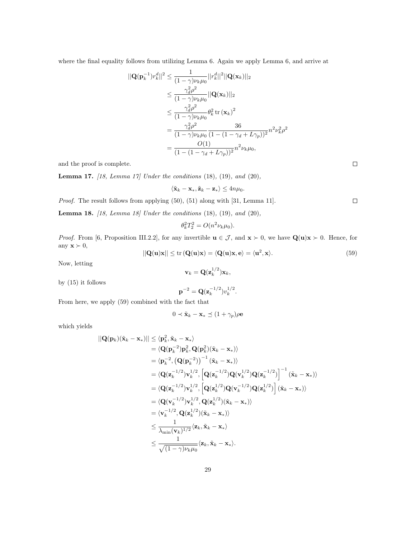where the final equality follows from utilizing Lemma 6. Again we apply Lemma 6, and arrive at

$$
\begin{split} ||\mathbf{Q}(\mathbf{p}_{k}^{-1})r_{k}^{d}||^{2} &\leq \frac{1}{(1-\gamma)\nu_{k}\mu_{0}}||r_{k}^{d}||^{2}||\mathbf{Q}(\mathbf{x}_{k})||_{2} \\ &\leq \frac{\gamma_{d}^{2}\rho^{2}}{(1-\gamma)\nu_{k}\mu_{0}}||\mathbf{Q}(\mathbf{x}_{k})||_{2} \\ &\leq \frac{\gamma_{d}^{2}\rho^{2}}{(1-\gamma)\nu_{k}\mu_{0}}\theta_{k}^{2}\operatorname{tr}(\mathbf{x}_{k})^{2} \\ &=\frac{\gamma_{d}^{2}\rho^{2}}{(1-\gamma)\nu_{k}\mu_{0}}\frac{36}{(1-(1-\gamma_{d}+L\gamma_{p}))^{2}}n^{2}\nu_{k}^{2}\rho^{2} \\ &=\frac{O(1)}{(1-(1-\gamma_{d}+L\gamma_{p}))^{2}}n^{2}\nu_{k}\mu_{0}, \end{split}
$$

and the proof is complete.

**Lemma 17.** [18, Lemma 17] Under the conditions  $(18)$ ,  $(19)$ , and  $(20)$ ,

$$
\langle \tilde{\mathbf{x}}_k - \mathbf{x}_*, \tilde{\mathbf{z}}_k - \mathbf{z}_* \rangle \le 4n\mu_0.
$$

Proof. The result follows from applying (50), (51) along with [31, Lemma 11].  $\Box$ 

**Lemma 18.** [18, Lemma 18] Under the conditions  $(18)$ ,  $(19)$ , and  $(20)$ ,

$$
\theta_k^2 T_2^2 = O(n^2 \nu_k \mu_0).
$$

*Proof.* From [6, Proposition III.2.2], for any invertible  $u \in \mathcal{J}$ , and  $x \succ 0$ , we have  $Q(u)x \succ 0$ . Hence, for any  $\mathbf{x} \succ 0$ ,  $\Omega$ 

$$
||\mathbf{Q}(\mathbf{u})\mathbf{x}|| \le \text{tr}\left(\mathbf{Q}(\mathbf{u})\mathbf{x}\right) = \langle \mathbf{Q}(\mathbf{u})\mathbf{x}, \mathbf{e} \rangle = \langle \mathbf{u}^2, \mathbf{x} \rangle. \tag{59}
$$

Now, letting

$$
\mathbf{v}_k = \mathbf{Q}(\mathbf{z}_k^{1/2})\mathbf{x}_k,
$$

by (15) it follows

$$
\mathbf{p}^{-2} = \mathbf{Q}(\mathbf{z}_k^{-1/2})v_k^{1/2}.
$$

From here, we apply (59) combined with the fact that

$$
0 \prec \tilde{\mathbf{x}}_k - \mathbf{x}_* \preceq (1 + \gamma_p)\rho \mathbf{e}
$$

which yields

$$
\begin{split}\n||\mathbf{Q}(\mathbf{p}_{k})(\tilde{\mathbf{x}}_{k}-\mathbf{x}_{*})|| &\leq \langle \mathbf{p}_{k}^{2}, \tilde{\mathbf{x}}_{k}-\mathbf{x}_{*}\rangle \\
&= \langle \mathbf{Q}(\mathbf{p}_{k}^{-2})\mathbf{p}_{k}^{2}, \mathbf{Q}(\mathbf{p}_{k}^{2})(\tilde{\mathbf{x}}_{k}-\mathbf{x}_{*})\rangle \\
&= \langle \mathbf{p}_{k}^{-2}, (\mathbf{Q}(\mathbf{p}_{k}^{-2}))^{-1} (\tilde{\mathbf{x}}_{k}-\mathbf{x}_{*})\rangle \\
&= \langle \mathbf{Q}(\mathbf{z}_{k}^{-1/2})\mathbf{v}_{k}^{1/2}, \left[\mathbf{Q}(\mathbf{z}_{k}^{-1/2})\mathbf{Q}(\mathbf{v}_{k}^{1/2})\mathbf{Q}(\mathbf{z}_{k}^{-1/2})\right]^{-1} (\tilde{\mathbf{x}}_{k}-\mathbf{x}_{*})\rangle \\
&= \langle \mathbf{Q}(\mathbf{z}_{k}^{-1/2})\mathbf{v}_{k}^{1/2}, \left[\mathbf{Q}(\mathbf{z}_{k}^{1/2})\mathbf{Q}(\mathbf{v}_{k}^{-1/2})\mathbf{Q}(\mathbf{z}_{k}^{1/2})\right] (\tilde{\mathbf{x}}_{k}-\mathbf{x}_{*})\rangle \\
&= \langle \mathbf{Q}(\mathbf{v}_{k}^{-1/2})\mathbf{v}_{k}^{1/2}, \mathbf{Q}(\mathbf{z}_{k}^{1/2})(\tilde{\mathbf{x}}_{k}-\mathbf{x}_{*})\rangle \\
&= \langle \mathbf{v}_{k}^{-1/2}, \mathbf{Q}(\mathbf{z}_{k}^{1/2})(\tilde{\mathbf{x}}_{k}-\mathbf{x}_{*})\rangle \\
&\leq \frac{1}{\lambda_{\min}(\mathbf{v}_{k})^{1/2}} \langle \mathbf{z}_{k}, \tilde{\mathbf{x}}_{k}-\mathbf{x}_{*}\rangle \\
&\leq \frac{1}{\sqrt{(1-\gamma)\nu_{k}\mu_{0}}} \langle \mathbf{z}_{k}, \tilde{\mathbf{x}}_{k}-\mathbf{x}_{*}\rangle.\n\end{split}
$$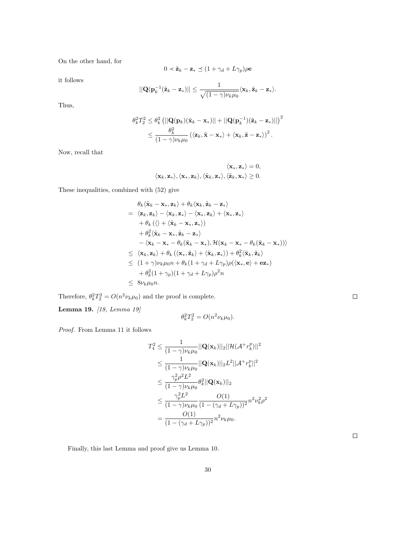On the other hand, for

$$
0 \prec \tilde{\mathbf{z}}_k - \mathbf{z}_* \preceq (1 + \gamma_d + L\gamma_p)\rho \mathbf{e}
$$

it follows

$$
||\mathbf{Q}(\mathbf{p}_k^{-1}(\tilde{\mathbf{z}}_k - \mathbf{z}_*)|| \leq \frac{1}{\sqrt{(1-\gamma)\nu_k \mu_0}} \langle \mathbf{x}_k, \tilde{\mathbf{z}}_k - \mathbf{z}_* \rangle.
$$

Thus,

$$
\theta_k^2 T_2^2 \leq \theta_k^2 \left( ||\mathbf{Q}(\mathbf{p}_k)(\tilde{\mathbf{x}}_k - \mathbf{x}_*)|| + ||\mathbf{Q}(\mathbf{p}_k^{-1})(\tilde{\mathbf{z}}_k - \mathbf{z}_*)|| \right)^2
$$
  

$$
\leq \frac{\theta_k^2}{(1 - \gamma)\nu_k \mu_0} \left( \langle \mathbf{z}_k, \tilde{\mathbf{x}} - \mathbf{x}_* \rangle + \langle \mathbf{x}_k, \tilde{\mathbf{z}} - \mathbf{z}_* \rangle \right)^2.
$$

Now, recall that

$$
\langle \mathbf{x}_{*}, \mathbf{z}_{*} \rangle = 0,
$$
  

$$
\langle \mathbf{x}_{k}, \mathbf{z}_{*} \rangle, \langle \mathbf{x}_{*}, \mathbf{z}_{k} \rangle, \langle \tilde{\mathbf{x}}_{k}, \mathbf{z}_{*} \rangle, \langle \tilde{\mathbf{z}}_{k}, \mathbf{x}_{*} \rangle \ge 0.
$$

These inequalities, combined with (52) give

$$
\theta_k \langle \tilde{\mathbf{x}}_k - \mathbf{x}_*, \mathbf{z}_k \rangle + \theta_k \langle \mathbf{x}_k, \tilde{\mathbf{z}}_k - \mathbf{z}_* \rangle
$$
\n
$$
= \langle \mathbf{z}_k, \mathbf{z}_k \rangle - \langle \mathbf{x}_k, \mathbf{z}_* \rangle - \langle \mathbf{x}_*, \mathbf{z}_k \rangle + \langle \mathbf{x}_*, \mathbf{z}_* \rangle
$$
\n
$$
+ \theta_k \left( \langle \rangle + \langle \tilde{\mathbf{x}}_k - \mathbf{x}_*, \mathbf{z}_* \rangle \right)
$$
\n
$$
+ \theta_k^2 \langle \tilde{\mathbf{x}}_k - \mathbf{x}_*, \tilde{\mathbf{z}}_k - \mathbf{z}_* \rangle
$$
\n
$$
- \langle \mathbf{x}_k - \mathbf{x}_* - \theta_k (\tilde{\mathbf{x}}_k - \mathbf{x}_*), \mathcal{H} (\mathbf{x}_k - \mathbf{x}_* - \theta_k (\tilde{\mathbf{x}}_k - \mathbf{x}_*)) \rangle
$$
\n
$$
\leq \langle \mathbf{x}_k, \mathbf{z}_k \rangle + \theta_k \left( \langle \mathbf{x}_*, \tilde{\mathbf{z}}_k \rangle + \langle \tilde{\mathbf{x}}_k, \mathbf{z}_* \rangle \right) + \theta_k^2 \langle \tilde{\mathbf{x}}_k, \tilde{\mathbf{z}}_k \rangle
$$
\n
$$
\leq (1 + \gamma) \nu_k \mu_0 n + \theta_k (1 + \gamma_d + L\gamma_p) \rho \langle \langle \mathbf{x}_*, \mathbf{e} \rangle + \mathbf{e} \mathbf{z}_* \rangle
$$
\n
$$
+ \theta_k^2 (1 + \gamma_p) (1 + \gamma_d + L\gamma_p) \rho^2 n
$$
\n
$$
\leq 8 \nu_k \mu_0 n.
$$

Therefore,  $\theta_k^2 T_2^2 = O(n^2 \nu_k \mu_0)$  and the proof is complete.

Lemma 19. [18, Lemma 19]

$$
\theta_k^2 T_2^2 = O(n^2 \nu_k \mu_0).
$$

Proof. From Lemma 11 it follows

$$
T_4^2 \leq \frac{1}{(1-\gamma)\nu_k\mu_0} ||\mathbf{Q}(\mathbf{x}_k)||_2 ||\mathcal{H}(\mathcal{A}^+ r_k^p)||^2
$$
  
\n
$$
\leq \frac{1}{(1-\gamma)\nu_k\mu_0} ||\mathbf{Q}(\mathbf{x}_k)||_2 L^2 ||\mathcal{A}^+ r_k^p||^2
$$
  
\n
$$
\leq \frac{\gamma_p^2 \rho^2 L^2}{(1-\gamma)\nu_k\mu_0} \theta_k^2 ||\mathbf{Q}(\mathbf{x}_k)||_2
$$
  
\n
$$
\leq \frac{\gamma_p^2 L^2}{(1-\gamma)\nu_k\mu_0} \frac{O(1)}{(1-(\gamma_d+L\gamma_p))^2} n^2 \nu_k^2 \rho^2
$$
  
\n
$$
= \frac{O(1)}{(1-(\gamma_d+L\gamma_p))^2} n^2 \nu_k \mu_0.
$$

 $\Box$ 

Finally, this last Lemma and proof give us Lemma 10.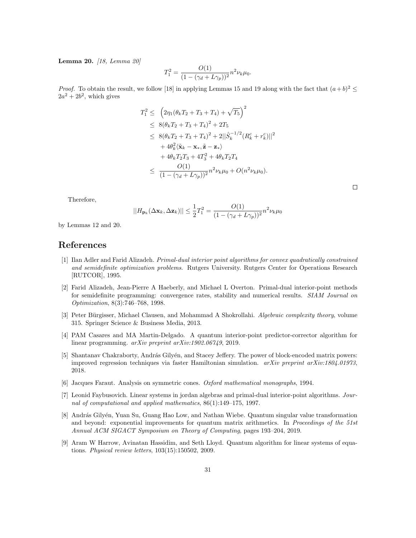Lemma 20. [18, Lemma 20]

$$
T_1^2 = \frac{O(1)}{(1 - (\gamma_d + L\gamma_p))^2} n^2 \nu_k \mu_0.
$$

*Proof.* To obtain the result, we follow [18] in applying Lemmas 15 and 19 along with the fact that  $(a+b)^2 \le$  $2a^2 + 2b^2$ , which gives

$$
T_1^2 \leq (2\eta_1(\theta_k T_2 + T_3 + T_4) + \sqrt{T_5})^2
$$
  
\n
$$
\leq 8(\theta_k T_2 + T_3 + T_4)^2 + 2T_5
$$
  
\n
$$
\leq 8(\theta_k T_2 + T_3 + T_4)^2 + 2||\hat{S}_k^{-1/2}(R_k^c + r_k^c)||^2
$$
  
\n
$$
+ 4\theta_k^2 \langle \tilde{\mathbf{x}}_k - \mathbf{x}_*, \tilde{\mathbf{z}} - \mathbf{z}_* \rangle
$$
  
\n
$$
+ 4\theta_k T_2 T_3 + 4T_3^2 + 4\theta_k T_2 T_4
$$
  
\n
$$
\leq \frac{O(1)}{(1 - (\gamma_d + L\gamma_p))^2} n^2 \nu_k \mu_0 + O(n^2 \nu_k \mu_0).
$$

Therefore,

$$
||H_{\mathbf{p}_k}(\Delta \mathbf{x}_k, \Delta \mathbf{z}_k)|| \le \frac{1}{2}T_1^2 = \frac{O(1)}{(1 - (\gamma_d + L\gamma_p))^2}n^2 \nu_k \mu_0
$$

by Lemmas 12 and 20.

## References

- [1] Ilan Adler and Farid Alizadeh. Primal-dual interior point algorithms for convex quadratically constrained and semidefinite optimization problems. Rutgers University. Rutgers Center for Operations Research [RUTCOR], 1995.
- [2] Farid Alizadeh, Jean-Pierre A Haeberly, and Michael L Overton. Primal-dual interior-point methods for semidefinite programming: convergence rates, stability and numerical results. SIAM Journal on Optimization, 8(3):746–768, 1998.
- [3] Peter Bürgisser, Michael Clausen, and Mohammad A Shokrollahi. Algebraic complexity theory, volume 315. Springer Science & Business Media, 2013.
- [4] PAM Casares and MA Martin-Delgado. A quantum interior-point predictor-corrector algorithm for linear programming. arXiv preprint arXiv:1902.06749, 2019.
- [5] Shantanav Chakraborty, András Gilyén, and Stacey Jeffery. The power of block-encoded matrix powers: improved regression techniques via faster Hamiltonian simulation.  $arXiv$  preprint  $arXiv:1804.01973$ , 2018.
- [6] Jacques Faraut. Analysis on symmetric cones. Oxford mathematical monographs, 1994.
- [7] Leonid Faybusovich. Linear systems in jordan algebras and primal-dual interior-point algorithms. Journal of computational and applied mathematics, 86(1):149–175, 1997.
- [8] András Gilyén, Yuan Su, Guang Hao Low, and Nathan Wiebe. Quantum singular value transformation and beyond: exponential improvements for quantum matrix arithmetics. In Proceedings of the 51st Annual ACM SIGACT Symposium on Theory of Computing, pages 193–204, 2019.
- [9] Aram W Harrow, Avinatan Hassidim, and Seth Lloyd. Quantum algorithm for linear systems of equations. Physical review letters, 103(15):150502, 2009.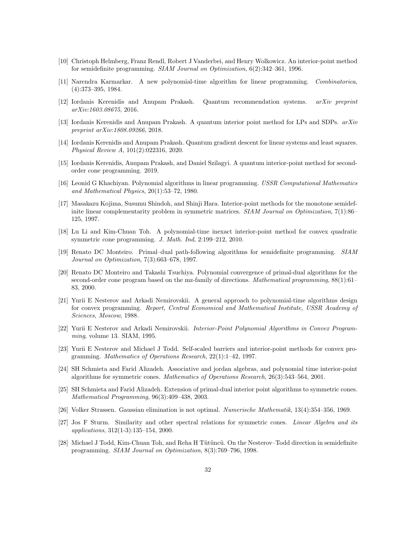- [10] Christoph Helmberg, Franz Rendl, Robert J Vanderbei, and Henry Wolkowicz. An interior-point method for semidefinite programming. SIAM Journal on Optimization, 6(2):342–361, 1996.
- [11] Narendra Karmarkar. A new polynomial-time algorithm for linear programming. Combinatorica, (4):373–395, 1984.
- [12] Iordanis Kerenidis and Anupam Prakash. Quantum recommendation systems. arXiv preprint arXiv:1603.08675, 2016.
- [13] Iordanis Kerenidis and Anupam Prakash. A quantum interior point method for LPs and SDPs. arXiv preprint arXiv:1808.09266, 2018.
- [14] Iordanis Kerenidis and Anupam Prakash. Quantum gradient descent for linear systems and least squares. Physical Review A, 101(2):022316, 2020.
- [15] Iordanis Kerenidis, Anupam Prakash, and Daniel Szilagyi. A quantum interior-point method for secondorder cone programming. 2019.
- [16] Leonid G Khachiyan. Polynomial algorithms in linear programming. USSR Computational Mathematics and Mathematical Physics, 20(1):53–72, 1980.
- [17] Masakazu Kojima, Susumu Shindoh, and Shinji Hara. Interior-point methods for the monotone semidefinite linear complementarity problem in symmetric matrices. *SIAM Journal on Optimization*, 7(1):86– 125, 1997.
- [18] Lu Li and Kim-Chuan Toh. A polynomial-time inexact interior-point method for convex quadratic symmetric cone programming. J. Math. Ind, 2:199–212, 2010.
- [19] Renato DC Monteiro. Primal–dual path-following algorithms for semidefinite programming. SIAM Journal on Optimization, 7(3):663–678, 1997.
- [20] Renato DC Monteiro and Takashi Tsuchiya. Polynomial convergence of primal-dual algorithms for the second-order cone program based on the mz-family of directions. Mathematical programming, 88(1):61– 83, 2000.
- [21] Yurii E Nesterov and Arkadi Nemirovskii. A general approach to polynomial-time algorithms design for convex programming. Report, Central Economical and Mathematical Institute, USSR Academy of Sciences, Moscow, 1988.
- [22] Yurii E Nesterov and Arkadi Nemirovskii. Interior-Point Polynomial Algorithms in Convex Programming, volume 13. SIAM, 1995.
- [23] Yurii E Nesterov and Michael J Todd. Self-scaled barriers and interior-point methods for convex programming. Mathematics of Operations Research, 22(1):1–42, 1997.
- [24] SH Schmieta and Farid Alizadeh. Associative and jordan algebras, and polynomial time interior-point algorithms for symmetric cones. Mathematics of Operations Research, 26(3):543–564, 2001.
- [25] SH Schmieta and Farid Alizadeh. Extension of primal-dual interior point algorithms to symmetric cones. Mathematical Programming, 96(3):409–438, 2003.
- [26] Volker Strassen. Gaussian elimination is not optimal. Numerische Mathematik, 13(4):354–356, 1969.
- [27] Jos F Sturm. Similarity and other spectral relations for symmetric cones. Linear Algebra and its applications, 312(1-3):135–154, 2000.
- [28] Michael J Todd, Kim-Chuan Toh, and Reha H Tütüncü. On the Nesterov–Todd direction in semidefinite programming. SIAM Journal on Optimization, 8(3):769–796, 1998.